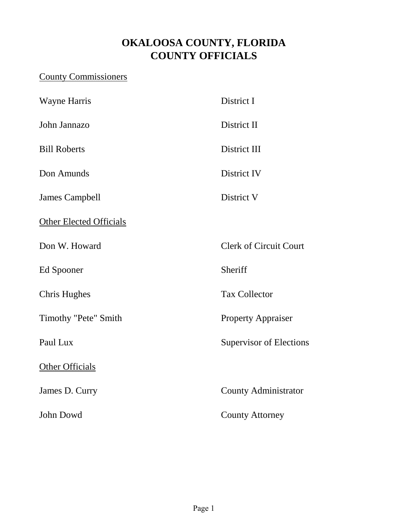#### **OKALOOSA COUNTY, FLORIDA COUNTY OFFICIALS**

#### County Commissioners

| <b>Wayne Harris</b>            | District I                     |
|--------------------------------|--------------------------------|
| John Jannazo                   | District II                    |
| <b>Bill Roberts</b>            | District III                   |
| Don Amunds                     | District IV                    |
| <b>James Campbell</b>          | District V                     |
| <b>Other Elected Officials</b> |                                |
| Don W. Howard                  | <b>Clerk of Circuit Court</b>  |
| Ed Spooner                     | Sheriff                        |
| <b>Chris Hughes</b>            | <b>Tax Collector</b>           |
| Timothy "Pete" Smith           | <b>Property Appraiser</b>      |
| Paul Lux                       | <b>Supervisor of Elections</b> |
| Other Officials                |                                |
| James D. Curry                 | <b>County Administrator</b>    |
| John Dowd                      | <b>County Attorney</b>         |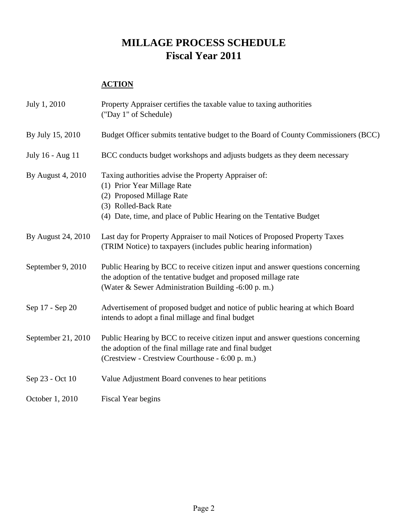#### **MILLAGE PROCESS SCHEDULE Fiscal Year 2011**

#### **ACTION**

| July 1, 2010       | Property Appraiser certifies the taxable value to taxing authorities<br>("Day 1" of Schedule)                                                                                                                   |
|--------------------|-----------------------------------------------------------------------------------------------------------------------------------------------------------------------------------------------------------------|
| By July 15, 2010   | Budget Officer submits tentative budget to the Board of County Commissioners (BCC)                                                                                                                              |
| July 16 - Aug 11   | BCC conducts budget workshops and adjusts budgets as they deem necessary                                                                                                                                        |
| By August 4, 2010  | Taxing authorities advise the Property Appraiser of:<br>(1) Prior Year Millage Rate<br>(2) Proposed Millage Rate<br>(3) Rolled-Back Rate<br>(4) Date, time, and place of Public Hearing on the Tentative Budget |
| By August 24, 2010 | Last day for Property Appraiser to mail Notices of Proposed Property Taxes<br>(TRIM Notice) to taxpayers (includes public hearing information)                                                                  |
| September 9, 2010  | Public Hearing by BCC to receive citizen input and answer questions concerning<br>the adoption of the tentative budget and proposed millage rate<br>(Water & Sewer Administration Building -6:00 p.m.)          |
| Sep 17 - Sep 20    | Advertisement of proposed budget and notice of public hearing at which Board<br>intends to adopt a final millage and final budget                                                                               |
| September 21, 2010 | Public Hearing by BCC to receive citizen input and answer questions concerning<br>the adoption of the final millage rate and final budget<br>(Crestview - Crestview Courthouse - 6:00 p.m.)                     |
| Sep 23 - Oct 10    | Value Adjustment Board convenes to hear petitions                                                                                                                                                               |
| October 1, 2010    | Fiscal Year begins                                                                                                                                                                                              |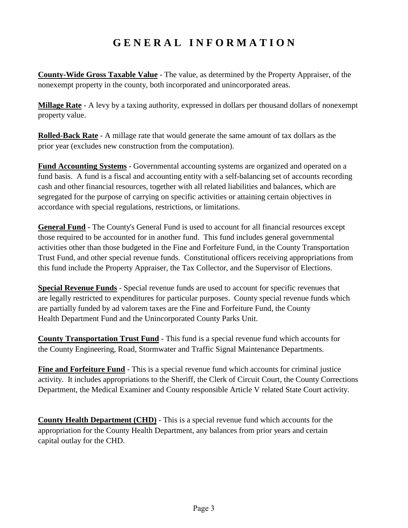#### **G E N E R A L I N F O R M A T I O N**

**County-Wide Gross Taxable Value** - The value, as determined by the Property Appraiser, of the nonexempt property in the county, both incorporated and unincorporated areas.

**Millage Rate** - A levy by a taxing authority, expressed in dollars per thousand dollars of nonexempt property value.

**Rolled-Back Rate** - A millage rate that would generate the same amount of tax dollars as the prior year (excludes new construction from the computation).

**Fund Accounting Systems** - Governmental accounting systems are organized and operated on a fund basis. A fund is a fiscal and accounting entity with a self-balancing set of accounts recording cash and other financial resources, together with all related liabilities and balances, which are segregated for the purpose of carrying on specific activities or attaining certain objectives in accordance with special regulations, restrictions, or limitations.

**General Fund** - The County's General Fund is used to account for all financial resources except those required to be accounted for in another fund. This fund includes general governmental activities other than those budgeted in the Fine and Forfeiture Fund, in the County Transportation Trust Fund, and other special revenue funds. Constitutional officers receiving appropriations from this fund include the Property Appraiser, the Tax Collector, and the Supervisor of Elections.

**Special Revenue Funds** - Special revenue funds are used to account for specific revenues that are legally restricted to expenditures for particular purposes. County special revenue funds which are partially funded by ad valorem taxes are the Fine and Forfeiture Fund, the County Health Department Fund and the Unincorporated County Parks Unit.

**County Transportation Trust Fund** - This fund is a special revenue fund which accounts for the County Engineering, Road, Stormwater and Traffic Signal Maintenance Departments.

**Fine and Forfeiture Fund** - This is a special revenue fund which accounts for criminal justice activity. It includes appropriations to the Sheriff, the Clerk of Circuit Court, the County Corrections Department, the Medical Examiner and County responsible Article V related State Court activity.

**County Health Department (CHD)** - This is a special revenue fund which accounts for the appropriation for the County Health Department, any balances from prior years and certain capital outlay for the CHD.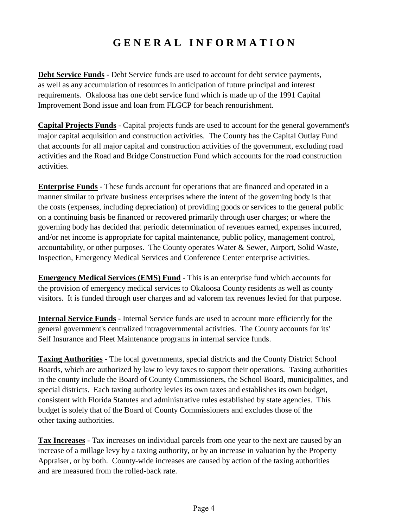#### **G E N E R A L I N F O R M A T I O N**

**Debt Service Funds** - Debt Service funds are used to account for debt service payments, as well as any accumulation of resources in anticipation of future principal and interest requirements. Okaloosa has one debt service fund which is made up of the 1991 Capital Improvement Bond issue and loan from FLGCP for beach renourishment.

**Capital Projects Funds** - Capital projects funds are used to account for the general government's major capital acquisition and construction activities. The County has the Capital Outlay Fund that accounts for all major capital and construction activities of the government, excluding road activities and the Road and Bridge Construction Fund which accounts for the road construction activities.

**Enterprise Funds** - These funds account for operations that are financed and operated in a manner similar to private business enterprises where the intent of the governing body is that the costs (expenses, including depreciation) of providing goods or services to the general public on a continuing basis be financed or recovered primarily through user charges; or where the governing body has decided that periodic determination of revenues earned, expenses incurred, and/or net income is appropriate for capital maintenance, public policy, management control, accountability, or other purposes. The County operates Water & Sewer, Airport, Solid Waste, Inspection, Emergency Medical Services and Conference Center enterprise activities.

**Emergency Medical Services (EMS) Fund** - This is an enterprise fund which accounts for the provision of emergency medical services to Okaloosa County residents as well as county visitors. It is funded through user charges and ad valorem tax revenues levied for that purpose.

**Internal Service Funds** - Internal Service funds are used to account more efficiently for the general government's centralized intragovernmental activities. The County accounts for its' Self Insurance and Fleet Maintenance programs in internal service funds.

**Taxing Authorities** - The local governments, special districts and the County District School Boards, which are authorized by law to levy taxes to support their operations. Taxing authorities in the county include the Board of County Commissioners, the School Board, municipalities, and special districts. Each taxing authority levies its own taxes and establishes its own budget, consistent with Florida Statutes and administrative rules established by state agencies. This budget is solely that of the Board of County Commissioners and excludes those of the other taxing authorities.

**Tax Increases** - Tax increases on individual parcels from one year to the next are caused by an increase of a millage levy by a taxing authority, or by an increase in valuation by the Property Appraiser, or by both. County-wide increases are caused by action of the taxing authorities and are measured from the rolled-back rate.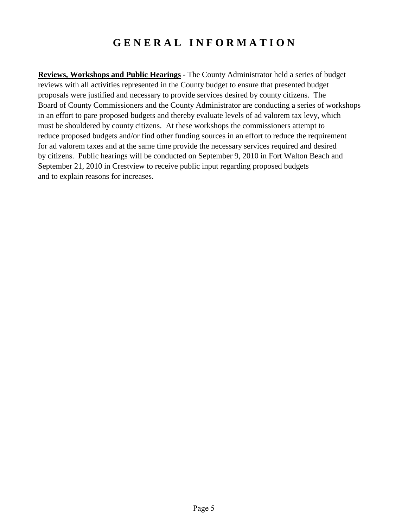#### **G E N E R A L I N F O R M A T I O N**

**Reviews, Workshops and Public Hearings** - The County Administrator held a series of budget reviews with all activities represented in the County budget to ensure that presented budget proposals were justified and necessary to provide services desired by county citizens. The Board of County Commissioners and the County Administrator are conducting a series of workshops in an effort to pare proposed budgets and thereby evaluate levels of ad valorem tax levy, which must be shouldered by county citizens. At these workshops the commissioners attempt to reduce proposed budgets and/or find other funding sources in an effort to reduce the requirement for ad valorem taxes and at the same time provide the necessary services required and desired by citizens. Public hearings will be conducted on September 9, 2010 in Fort Walton Beach and September 21, 2010 in Crestview to receive public input regarding proposed budgets and to explain reasons for increases.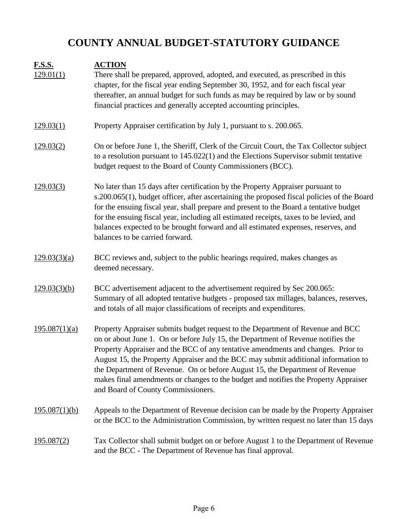## **COUNTY ANNUAL BUDGET-STATUTORY GUIDANCE**

| <b>F.S.S.</b><br>129.01(1) | <b>ACTION</b><br>There shall be prepared, approved, adopted, and executed, as prescribed in this<br>chapter, for the fiscal year ending September 30, 1952, and for each fiscal year<br>thereafter, an annual budget for such funds as may be required by law or by sound<br>financial practices and generally accepted accounting principles.                                                                                                                                                                                                            |
|----------------------------|-----------------------------------------------------------------------------------------------------------------------------------------------------------------------------------------------------------------------------------------------------------------------------------------------------------------------------------------------------------------------------------------------------------------------------------------------------------------------------------------------------------------------------------------------------------|
| 129.03(1)                  | Property Appraiser certification by July 1, pursuant to s. 200.065.                                                                                                                                                                                                                                                                                                                                                                                                                                                                                       |
| 129.03(2)                  | On or before June 1, the Sheriff, Clerk of the Circuit Court, the Tax Collector subject<br>to a resolution pursuant to $145.022(1)$ and the Elections Supervisor submit tentative<br>budget request to the Board of County Commissioners (BCC).                                                                                                                                                                                                                                                                                                           |
| 129.03(3)                  | No later than 15 days after certification by the Property Appraiser pursuant to<br>s.200.065(1), budget officer, after ascertaining the proposed fiscal policies of the Board<br>for the ensuing fiscal year, shall prepare and present to the Board a tentative budget<br>for the ensuing fiscal year, including all estimated receipts, taxes to be levied, and<br>balances expected to be brought forward and all estimated expenses, reserves, and<br>balances to be carried forward.                                                                 |
| 129.03(3)(a)               | BCC reviews and, subject to the public hearings required, makes changes as<br>deemed necessary.                                                                                                                                                                                                                                                                                                                                                                                                                                                           |
| 129.03(3)(b)               | BCC advertisement adjacent to the advertisement required by Sec 200.065:<br>Summary of all adopted tentative budgets - proposed tax millages, balances, reserves,<br>and totals of all major classifications of receipts and expenditures.                                                                                                                                                                                                                                                                                                                |
| 195.087(1)(a)              | Property Appraiser submits budget request to the Department of Revenue and BCC<br>on or about June 1. On or before July 15, the Department of Revenue notifies the<br>Property Appraiser and the BCC of any tentative amendments and changes. Prior to<br>August 15, the Property Appraiser and the BCC may submit additional information to<br>the Department of Revenue. On or before August 15, the Department of Revenue<br>makes final amendments or changes to the budget and notifies the Property Appraiser<br>and Board of County Commissioners. |
| 195.087(1)(b)              | Appeals to the Department of Revenue decision can be made by the Property Appraiser<br>or the BCC to the Administration Commission, by written request no later than 15 days                                                                                                                                                                                                                                                                                                                                                                              |
| <u>195.087(2)</u>          | Tax Collector shall submit budget on or before August 1 to the Department of Revenue<br>and the BCC - The Department of Revenue has final approval.                                                                                                                                                                                                                                                                                                                                                                                                       |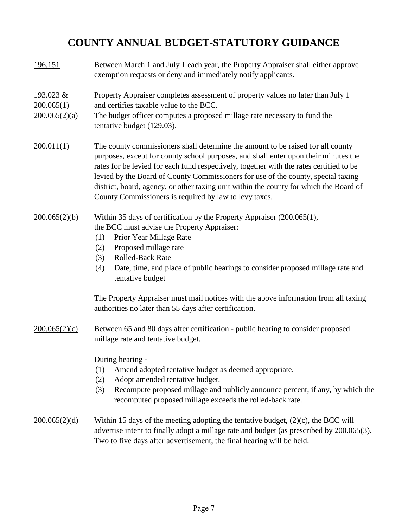#### **COUNTY ANNUAL BUDGET-STATUTORY GUIDANCE**

196.151 193.023 & 200.065(1)  $200.065(2)(a)$ 200.011(1)  $200.065(2)(b)$ (1) (2) (3) (4) 200.065(2)(c) (1) (2) (3) 200.065(2)(d) Adopt amended tentative budget. Recompute proposed millage and publicly announce percent, if any, by which the recomputed proposed millage exceeds the rolled-back rate. During hearing - Amend adopted tentative budget as deemed appropriate. The Property Appraiser must mail notices with the above information from all taxing authorities no later than 55 days after certification. Between 65 and 80 days after certification - public hearing to consider proposed Within 15 days of the meeting adopting the tentative budget, (2)(c), the BCC will advertise intent to finally adopt a millage rate and budget (as prescribed by 200.065(3). Rolled-Back Rate Date, time, and place of public hearings to consider proposed millage rate and tentative budget Within 35 days of certification by the Property Appraiser (200.065(1), the BCC must advise the Property Appraiser: Proposed millage rate millage rate and tentative budget. The budget officer computes a proposed millage rate necessary to fund the Between March 1 and July 1 each year, the Property Appraiser shall either approve exemption requests or deny and immediately notify applicants. rates for be levied for each fund respectively, together with the rates certified to be levied by the Board of County Commissioners for use of the county, special taxing district, board, agency, or other taxing unit within the county for which the Board of County Commissioners is required by law to levy taxes. tentative budget (129.03). The county commissioners shall determine the amount to be raised for all county purposes, except for county school purposes, and shall enter upon their minutes the Property Appraiser completes assessment of property values no later than July 1 and certifies taxable value to the BCC. Prior Year Millage Rate

Two to five days after advertisement, the final hearing will be held.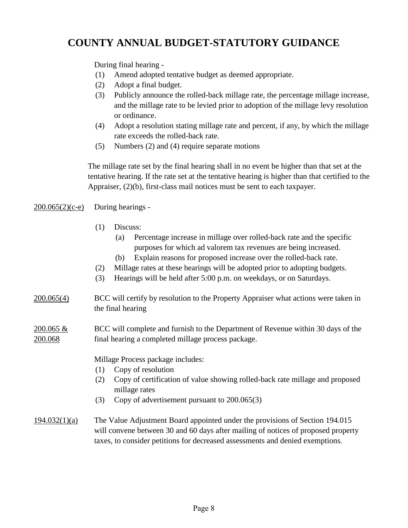#### **COUNTY ANNUAL BUDGET-STATUTORY GUIDANCE**

During final hearing -

- (1) Amend adopted tentative budget as deemed appropriate.
- (2) Adopt a final budget.
- (3) or ordinance. Publicly announce the rolled-back millage rate, the percentage millage increase, and the millage rate to be levied prior to adoption of the millage levy resolution
- (4) Adopt a resolution stating millage rate and percent, if any, by which the millage rate exceeds the rolled-back rate.
- (5) Numbers (2) and (4) require separate motions

The millage rate set by the final hearing shall in no event be higher than that set at the tentative hearing. If the rate set at the tentative hearing is higher than that certified to the Appraiser, (2)(b), first-class mail notices must be sent to each taxpayer.

#### $200.065(2)(c-e)$ During hearings -

- (1) Discuss:
	- (a) Percentage increase in millage over rolled-back rate and the specific purposes for which ad valorem tax revenues are being increased.
	- (b) Explain reasons for proposed increase over the rolled-back rate.
- (2) Millage rates at these hearings will be adopted prior to adopting budgets.
- (3) Hearings will be held after 5:00 p.m. on weekdays, or on Saturdays.

#### 200.065(4) the final hearing BCC will certify by resolution to the Property Appraiser what actions were taken in

#### 200.065 & 200.068 BCC will complete and furnish to the Department of Revenue within 30 days of the final hearing a completed millage process package.

Millage Process package includes:

- (1) Copy of resolution
- (2) Copy of certification of value showing rolled-back rate millage and proposed millage rates
- (3) Copy of advertisement pursuant to 200.065(3)
- 194.032(1)(a) will convene between 30 and 60 days after mailing of notices of proposed property taxes, to consider petitions for decreased assessments and denied exemptions. The Value Adjustment Board appointed under the provisions of Section 194.015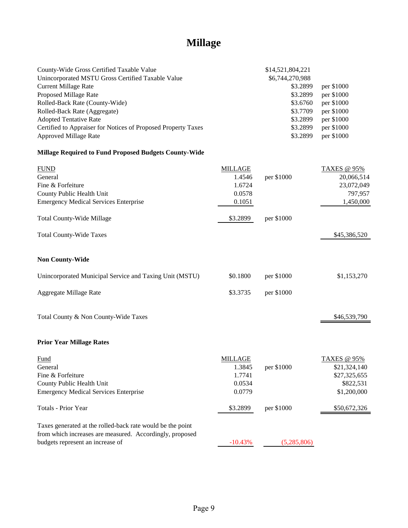## **Millage**

| County-Wide Gross Certified Taxable Value                     |                | \$14,521,804,221  |                    |
|---------------------------------------------------------------|----------------|-------------------|--------------------|
| Unincorporated MSTU Gross Certified Taxable Value             |                | \$6,744,270,988   |                    |
| <b>Current Millage Rate</b>                                   |                | \$3.2899          | per \$1000         |
| Proposed Millage Rate                                         |                | \$3.2899          | per \$1000         |
| Rolled-Back Rate (County-Wide)                                |                | \$3.6760          | per \$1000         |
| Rolled-Back Rate (Aggregate)                                  |                | \$3.7709          | per \$1000         |
| <b>Adopted Tentative Rate</b>                                 |                | \$3.2899          | per \$1000         |
| Certified to Appraiser for Notices of Proposed Property Taxes |                | \$3.2899          | per \$1000         |
| <b>Approved Millage Rate</b>                                  |                | \$3.2899          | per \$1000         |
| <b>Millage Required to Fund Proposed Budgets County-Wide</b>  |                |                   |                    |
| <b>FUND</b>                                                   | <b>MILLAGE</b> |                   | <b>TAXES</b> @ 95% |
| General                                                       | 1.4546         | per \$1000        | 20,066,514         |
| Fine & Forfeiture                                             | 1.6724         |                   | 23,072,049         |
| County Public Health Unit                                     | 0.0578         |                   | 797,957            |
| <b>Emergency Medical Services Enterprise</b>                  | 0.1051         |                   | 1,450,000          |
| <b>Total County-Wide Millage</b>                              | \$3.2899       | per \$1000        |                    |
| <b>Total County-Wide Taxes</b>                                |                |                   | \$45,386,520       |
| <b>Non County-Wide</b>                                        |                |                   |                    |
| Unincorporated Municipal Service and Taxing Unit (MSTU)       | \$0.1800       | per \$1000        | \$1,153,270        |
| Aggregate Millage Rate                                        | \$3.3735       | per \$1000        |                    |
| Total County & Non County-Wide Taxes                          |                |                   | \$46,539,790       |
| <b>Prior Year Millage Rates</b>                               |                |                   |                    |
| Fund                                                          | <b>MILLAGE</b> |                   | <b>TAXES @ 95%</b> |
| General                                                       |                | 1.3845 per \$1000 | \$21,324,140       |
| Fine & Forfeiture                                             | 1.7741         |                   | \$27,325,655       |
| County Public Health Unit                                     | 0.0534         |                   | \$822,531          |
| <b>Emergency Medical Services Enterprise</b>                  | 0.0779         |                   | \$1,200,000        |
| Totals - Prior Year                                           | \$3.2899       | per \$1000        | \$50,672,326       |
| Taxes generated at the rolled-back rate would be the point    |                |                   |                    |
| from which increases are measured. Accordingly, proposed      |                |                   |                    |
| budgets represent an increase of                              | $-10.43%$      | (5,285,806)       |                    |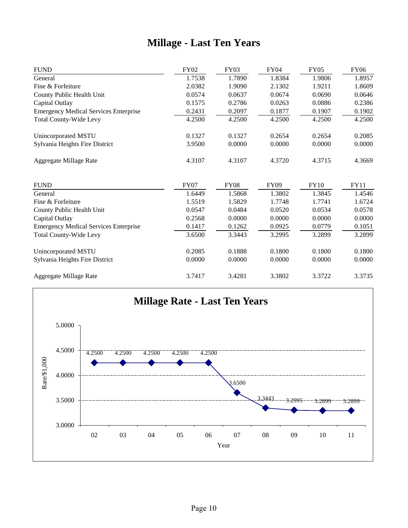#### **Millage - Last Ten Years**

| <b>FUND</b>                                  | <b>FY02</b> | <b>FY03</b> | <b>FY04</b> | <b>FY05</b> | <b>FY06</b> |
|----------------------------------------------|-------------|-------------|-------------|-------------|-------------|
| General                                      | 1.7538      | 1.7890      | 1.8384      | 1.9806      | 1.8957      |
| Fine & Forfeiture                            | 2.0382      | 1.9090      | 2.1302      | 1.9211      | 1.8609      |
| County Public Health Unit                    | 0.0574      | 0.0637      | 0.0674      | 0.0690      | 0.0646      |
| Capital Outlay                               | 0.1575      | 0.2786      | 0.0263      | 0.0886      | 0.2386      |
| <b>Emergency Medical Services Enterprise</b> | 0.2431      | 0.2097      | 0.1877      | 0.1907      | 0.1902      |
| <b>Total County-Wide Levy</b>                | 4.2500      | 4.2500      | 4.2500      | 4.2500      | 4.2500      |
| Unincorporated MSTU                          | 0.1327      | 0.1327      | 0.2654      | 0.2654      | 0.2085      |
| Sylvania Heights Fire District               | 3.9500      | 0.0000      | 0.0000      | 0.0000      | 0.0000      |
| Aggregate Millage Rate                       | 4.3107      | 4.3107      | 4.3720      | 4.3715      | 4.3669      |
| <b>FUND</b>                                  | <b>FY07</b> | <b>FY08</b> | <b>FY09</b> | <b>FY10</b> | <b>FY11</b> |
| General                                      | 1.6449      | 1.5868      | 1.3802      | 1.3845      | 1.4546      |
| Fine & Forfeiture                            | 1.5519      | 1.5829      | 1.7748      | 1.7741      | 1.6724      |
| County Public Health Unit                    | 0.0547      | 0.0484      | 0.0520      | 0.0534      | 0.0578      |
| Capital Outlay                               | 0.2568      | 0.0000      | 0.0000      | 0.0000      | 0.0000      |
| <b>Emergency Medical Services Enterprise</b> | 0.1417      | 0.1262      | 0.0925      | 0.0779      | 0.1051      |
| <b>Total County-Wide Levy</b>                | 3.6500      | 3.3443      | 3.2995      | 3.2899      | 3.2899      |
| Unincorporated MSTU                          | 0.2085      | 0.1888      | 0.1800      | 0.1800      | 0.1800      |
| Sylvania Heights Fire District               | 0.0000      | 0.0000      | 0.0000      | 0.0000      | 0.0000      |
| Aggregate Millage Rate                       | 3.7417      | 3.4281      | 3.3802      | 3.3722      | 3.3735      |

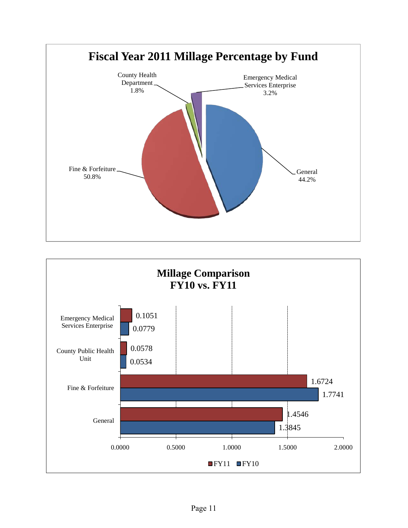

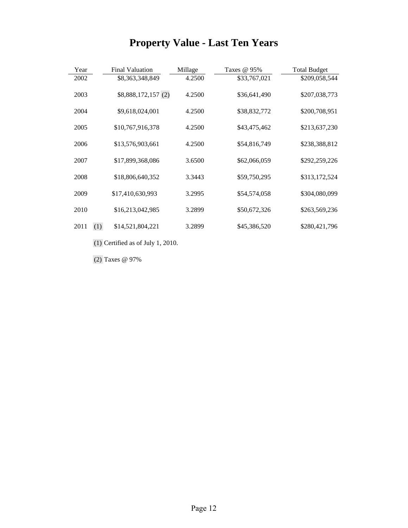# **Property Value - Last Ten Years**

| Year        | <b>Final Valuation</b> | Millage | Taxes @ 95%  | <b>Total Budget</b> |
|-------------|------------------------|---------|--------------|---------------------|
| 2002        | \$8,363,348,849        | 4.2500  | \$33,767,021 | \$209,058,544       |
| 2003        | \$8,888,172,157 (2)    | 4.2500  | \$36,641,490 | \$207,038,773       |
| 2004        | \$9,618,024,001        | 4.2500  | \$38,832,772 | \$200,708,951       |
|             |                        |         |              |                     |
| 2005        | \$10,767,916,378       | 4.2500  | \$43,475,462 | \$213,637,230       |
|             |                        |         |              |                     |
| 2006        | \$13,576,903,661       | 4.2500  | \$54,816,749 | \$238,388,812       |
|             |                        |         |              |                     |
| 2007        | \$17,899,368,086       | 3.6500  | \$62,066,059 | \$292,259,226       |
|             |                        |         |              |                     |
| 2008        | \$18,806,640,352       | 3.3443  | \$59,750,295 | \$313,172,524       |
| 2009        | \$17,410,630,993       | 3.2995  | \$54,574,058 | \$304,080,099       |
|             |                        |         |              |                     |
| 2010        | \$16,213,042,985       | 3.2899  | \$50,672,326 | \$263,569,236       |
|             |                        |         |              |                     |
| (1)<br>2011 | \$14,521,804,221       | 3.2899  | \$45,386,520 | \$280,421,796       |
|             |                        |         |              |                     |

(1) Certified as of July 1, 2010.

(2) Taxes @ 97%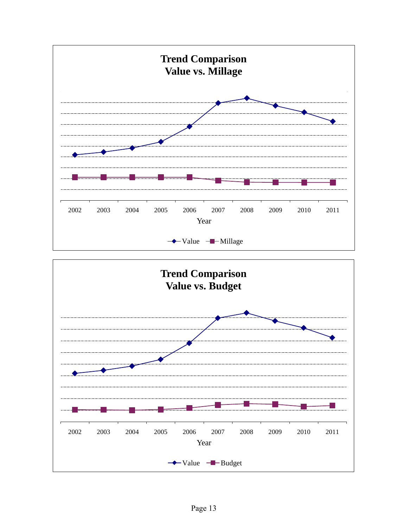

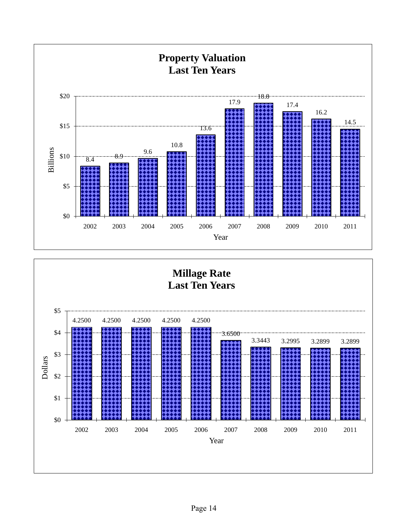



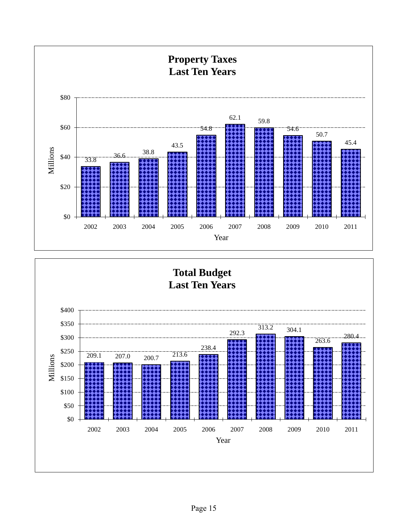

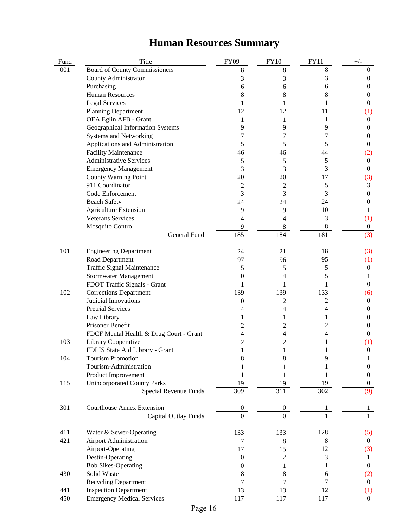# **Human Resources Summary**

| Fund | Title                                   | <b>FY09</b>      | <b>FY10</b>      | <b>FY11</b>      | $+/-$            |
|------|-----------------------------------------|------------------|------------------|------------------|------------------|
| 001  | <b>Board of County Commissioners</b>    | 8                | 8                | $8\,$            | 0                |
|      | County Administrator                    | 3                | 3                | 3                | $\boldsymbol{0}$ |
|      | Purchasing                              | 6                | 6                | 6                | 0                |
|      | <b>Human Resources</b>                  | 8                | 8                | 8                | 0                |
|      | <b>Legal Services</b>                   | 1                | 1                | 1                | 0                |
|      | <b>Planning Department</b>              | 12               | 12               | 11               | (1)              |
|      | OEA Eglin AFB - Grant                   | 1                | 1                | 1                | $\theta$         |
|      | Geographical Information Systems        | 9                | 9                | 9                | 0                |
|      | <b>Systems and Networking</b>           | 7                | 7                | 7                | 0                |
|      | Applications and Administration         | 5                | 5                | 5                | 0                |
|      | <b>Facility Maintenance</b>             | 46               | 46               | 44               | (2)              |
|      | <b>Administrative Services</b>          | 5                | 5                | 5                | $\boldsymbol{0}$ |
|      | <b>Emergency Management</b>             | 3                | 3                | 3                | 0                |
|      | County Warning Point                    | 20               | 20               | 17               | (3)              |
|      | 911 Coordinator                         | 2                | $\overline{c}$   | 5                | 3                |
|      | Code Enforcement                        | 3                | 3                | 3                | 0                |
|      | <b>Beach Safety</b>                     | 24               | 24               | 24               | 0                |
|      | <b>Agriculture Extension</b>            | 9                | 9                | 10               | 1                |
|      | <b>Veterans Services</b>                | 4                | 4                | 3                | (1)              |
|      | Mosquito Control                        | 9                | 8                | $\,8\,$          | $\boldsymbol{0}$ |
|      | General Fund                            | 185              | 184              | 181              | (3)              |
| 101  | <b>Engineering Department</b>           | 24               | 21               | 18               | (3)              |
|      | Road Department                         | 97               | 96               | 95               | (1)              |
|      | <b>Traffic Signal Maintenance</b>       | 5                | 5                | 5                | $\boldsymbol{0}$ |
|      | <b>Stormwater Management</b>            | 0                | 4                | 5                | 1                |
|      | FDOT Traffic Signals - Grant            | 1                | 1                | 1                | $\boldsymbol{0}$ |
| 102  | <b>Corrections Department</b>           | 139              | 139              | 133              | (6)              |
|      | Judicial Innovations                    | 0                | 2                | 2                | $\boldsymbol{0}$ |
|      | <b>Pretrial Services</b>                | 4                | 4                | 4                | $\boldsymbol{0}$ |
|      | Law Library                             | 1                | 1                | 1                | $\boldsymbol{0}$ |
|      | Prisoner Benefit                        | 2                | 2                | 2                | 0                |
|      | FDCF Mental Health & Drug Court - Grant | 4                | 4                | 4                | 0                |
| 103  | Library Cooperative                     | 2                | 2                |                  | (1)              |
|      | FDLIS State Aid Library - Grant         | 1                | 1                | 1                | $\boldsymbol{0}$ |
| 104  | Tourism Promotion                       | 8                | 8                | 9                | T                |
|      | Tourism-Administration                  |                  |                  |                  | 0                |
|      | Product Improvement                     |                  | 1                | 1                | 0                |
| 115  | <b>Unincorporated County Parks</b>      | 19               | 19               | 19               | 0                |
|      | Special Revenue Funds                   | 309              | $\overline{311}$ | $\overline{302}$ | (9)              |
| 301  | <b>Courthouse Annex Extension</b>       | $\boldsymbol{0}$ | $\boldsymbol{0}$ | 1                |                  |
|      | Capital Outlay Funds                    | $\overline{0}$   | $\overline{0}$   |                  |                  |
| 411  | Water & Sewer-Operating                 | 133              | 133              | 128              | (5)              |
| 421  | <b>Airport Administration</b>           | 7                | $\,8\,$          | $\,8\,$          | $\mathbf{0}$     |
|      | Airport-Operating                       | 17               | 15               | 12               | (3)              |
|      | Destin-Operating                        | $\boldsymbol{0}$ | $\mathbf{2}$     | $\mathfrak{Z}$   | 1                |
|      | <b>Bob Sikes-Operating</b>              | $\mathbf{0}$     | 1                | 1                | $\boldsymbol{0}$ |
| 430  | Solid Waste                             | 8                | 8                | 6                | (2)              |
|      | <b>Recycling Department</b>             | 7                | 7                | 7                | $\boldsymbol{0}$ |
| 441  | <b>Inspection Department</b>            | 13               | 13               | 12               | (1)              |
| 450  | <b>Emergency Medical Services</b>       | 117              | 117              | 117              | $\boldsymbol{0}$ |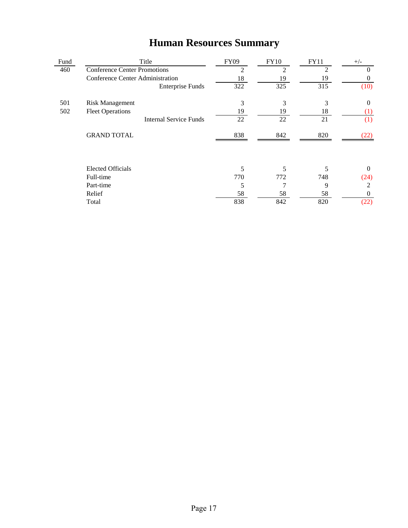|      | Truman Resources Bunniary           |             |       |      |  |
|------|-------------------------------------|-------------|-------|------|--|
| Fund | Title                               | <b>FY09</b> | FY10. | FY11 |  |
| 460  | <b>Conference Center Promotions</b> |             |       |      |  |
|      | Conference Center Administration    |             |       | 1 Q  |  |
|      | Enternrise Funds                    |             |       |      |  |

## **Human Resources Summary**

|     | Comercinee Center Framministration |                               | 10  | $\overline{1}$ | $\overline{ }$ | v                |
|-----|------------------------------------|-------------------------------|-----|----------------|----------------|------------------|
|     |                                    | <b>Enterprise Funds</b>       | 322 | 325            | 315            | (10)             |
| 501 | <b>Risk Management</b>             |                               | 3   | 3              | 3              | $\theta$         |
| 502 | <b>Fleet Operations</b>            |                               | 19  | 19             | 18             | $\left(1\right)$ |
|     |                                    | <b>Internal Service Funds</b> | 22  | 22             | 21             | (1)              |
|     | <b>GRAND TOTAL</b>                 |                               | 838 | 842            | 820            |                  |
|     | <b>Elected Officials</b>           |                               |     |                |                | $\Omega$         |
|     | Full-time                          |                               | 770 | 772            | 748            | (24)             |
|     | Part-time                          |                               |     |                | 9              | 2                |
|     | Relief                             |                               | 58  | 58             | 58             | $\Omega$         |
|     | Total                              |                               | 838 | 842            | 820            | (22)             |
|     |                                    |                               |     |                |                |                  |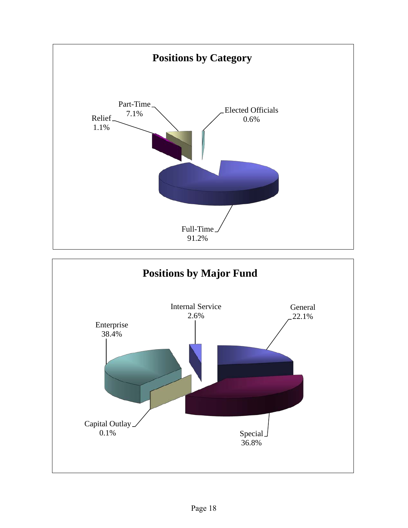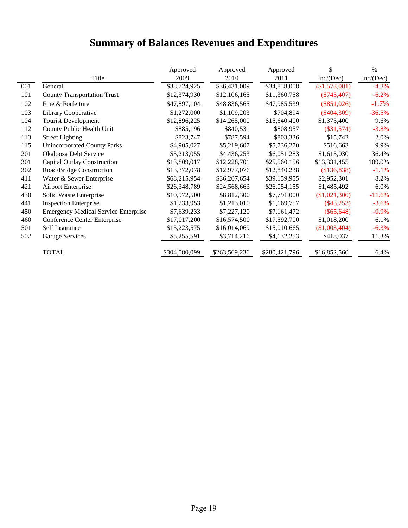# **Summary of Balances Revenues and Expenditures**

|     |                                             | Approved      | Approved      | Approved      | \$              | $\%$      |
|-----|---------------------------------------------|---------------|---------------|---------------|-----------------|-----------|
|     | Title                                       | 2009          | 2010          | 2011          | Inc/(Dec)       | Inc/(Dec) |
| 001 | General                                     | \$38,724,925  | \$36,431,009  | \$34,858,008  | (\$1,573,001)   | $-4.3%$   |
| 101 | <b>County Transportation Trust</b>          | \$12,374,930  | \$12,106,165  | \$11,360,758  | $(\$745,407)$   | $-6.2%$   |
| 102 | Fine & Forfeiture                           | \$47,897,104  | \$48,836,565  | \$47,985,539  | $(\$851,026)$   | $-1.7%$   |
| 103 | Library Cooperative                         | \$1,272,000   | \$1,109,203   | \$704,894     | $(\$404,309)$   | $-36.5%$  |
| 104 | <b>Tourist Development</b>                  | \$12,896,225  | \$14,265,000  | \$15,640,400  | \$1,375,400     | 9.6%      |
| 112 | County Public Health Unit                   | \$885,196     | \$840,531     | \$808,957     | $(\$31,574)$    | $-3.8%$   |
| 113 | <b>Street Lighting</b>                      | \$823,747     | \$787,594     | \$803,336     | \$15,742        | 2.0%      |
| 115 | <b>Unincorporated County Parks</b>          | \$4,905,027   | \$5,219,607   | \$5,736,270   | \$516,663       | 9.9%      |
| 201 | Okaloosa Debt Service                       | \$5,213,055   | \$4,436,253   | \$6,051,283   | \$1,615,030     | 36.4%     |
| 301 | <b>Capital Outlay Construction</b>          | \$13,809,017  | \$12,228,701  | \$25,560,156  | \$13,331,455    | 109.0%    |
| 302 | Road/Bridge Construction                    | \$13,372,078  | \$12,977,076  | \$12,840,238  | (\$136,838)     | $-1.1%$   |
| 411 | Water & Sewer Enterprise                    | \$68,215,954  | \$36,207,654  | \$39,159,955  | \$2,952,301     | 8.2%      |
| 421 | <b>Airport Enterprise</b>                   | \$26,348,789  | \$24,568,663  | \$26,054,155  | \$1,485,492     | 6.0%      |
| 430 | Solid Waste Enterprise                      | \$10,972,500  | \$8,812,300   | \$7,791,000   | (\$1,021,300)   | $-11.6%$  |
| 441 | <b>Inspection Enterprise</b>                | \$1,233,953   | \$1,213,010   | \$1,169,757   | $(\$43,253)$    | $-3.6%$   |
| 450 | <b>Emergency Medical Service Enterprise</b> | \$7,639,233   | \$7,227,120   | \$7,161,472   | $(\$65,648)$    | $-0.9\%$  |
| 460 | Conference Center Enterprise                | \$17,017,200  | \$16,574,500  | \$17,592,700  | \$1,018,200     | 6.1%      |
| 501 | Self Insurance                              | \$15,223,575  | \$16,014,069  | \$15,010,665  | $(\$1,003,404)$ | $-6.3%$   |
| 502 | Garage Services                             | \$5,255,591   | \$3,714,216   | \$4,132,253   | \$418,037       | 11.3%     |
|     | <b>TOTAL</b>                                | \$304,080,099 | \$263,569,236 | \$280,421,796 | \$16,852,560    | 6.4%      |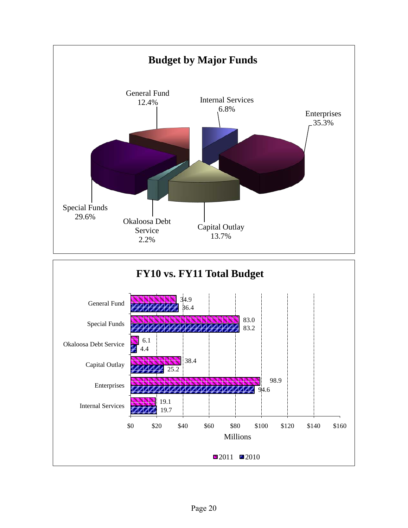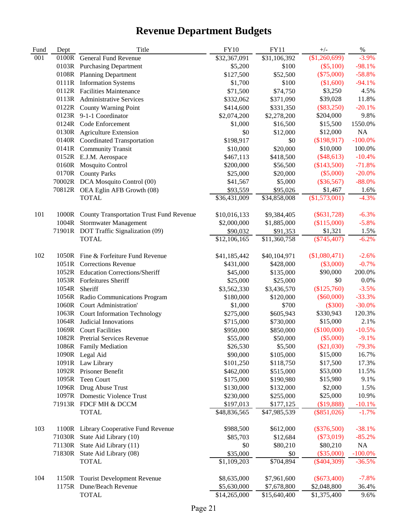## **Revenue Department Budgets**

| Fund | Dept   | Title                                           | ${\rm FY10}$            | <b>FY11</b>      | $+/-$         | $\%$       |
|------|--------|-------------------------------------------------|-------------------------|------------------|---------------|------------|
| 001  | 0100R  | General Fund Revenue                            | \$32,367,091            | \$31,106,392     | (\$1,260,699) | $-3.9%$    |
|      |        | 0103R Purchasing Department                     | \$5,200                 | \$100            | $(\$5,100)$   | $-98.1%$   |
|      | 0108R  | <b>Planning Department</b>                      | \$127,500               | \$52,500         | $(\$75,000)$  | $-58.8%$   |
|      |        | 0111R Information Systems                       | \$1,700                 | \$100            | (\$1,600)     | $-94.1%$   |
|      |        | 0112R Facilities Maintenance                    | \$71,500                | \$74,750         | \$3,250       | 4.5%       |
|      |        | 0113R Administrative Services                   | \$332,062               | \$371,090        | \$39,028      | 11.8%      |
|      | 0122R  | <b>County Warning Point</b>                     | \$414,600               | \$331,350        | $(\$83,250)$  | $-20.1%$   |
|      |        | 0123R 9-1-1 Coordinator                         | \$2,074,200             | \$2,278,200      | \$204,000     | 9.8%       |
|      |        | 0124R Code Enforcement                          | \$1,000                 | \$16,500         | \$15,500      | 1550.0%    |
|      |        | 0130R Agriculture Extension                     | \$0                     | \$12,000         | \$12,000      | $\rm NA$   |
|      |        | 0140R Coordinated Transportation                | \$198,917               | \$0              | (\$198,917)   | $-100.0%$  |
|      |        | 0141R Community Transit                         | \$10,000                | \$20,000         | \$10,000      | 100.0%     |
|      |        | 0152R E.J.M. Aerospace                          | \$467,113               | \$418,500        | $(\$48,613)$  | $-10.4%$   |
|      |        | 0160R Mosquito Control                          | \$200,000               | \$56,500         | (\$143,500)   | $-71.8%$   |
|      |        | 0170R County Parks                              | \$25,000                | \$20,000         | $(\$5,000)$   | $-20.0%$   |
|      |        | 70002R DCA Mosquito Control (00)                | \$41,567                | \$5,000          | $(\$36,567)$  | $-88.0%$   |
|      |        | 70812R OEA Eglin AFB Growth (08)                | \$93,559                | \$95,026         | \$1,467       | 1.6%       |
|      |        | <b>TOTAL</b>                                    | \$36,431,009            | \$34,858,008     | (\$1,573,001) | $-4.3%$    |
|      |        |                                                 |                         |                  |               |            |
| 101  | 1000R  | <b>County Transportation Trust Fund Revenue</b> | \$10,016,133            | \$9,384,405      | $(\$631,728)$ | $-6.3%$    |
|      |        | 1004R Stormwater Management                     | \$2,000,000             | \$1,885,000      | (\$115,000)   | $-5.8%$    |
|      |        | 71901R DOT Traffic Signalization (09)           | \$90,032                | \$91,353         | \$1,321       | 1.5%       |
|      |        | <b>TOTAL</b>                                    | \$12,106,165            | \$11,360,758     | $(\$745,407)$ | $-6.2%$    |
|      |        |                                                 |                         |                  |               |            |
| 102  |        | 1050R Fine & Forfeiture Fund Revenue            | \$41,185,442            | \$40,104,971     | (\$1,080,471) | $-2.6%$    |
|      |        | 1051R Corrections Revenue                       | \$431,000               | \$428,000        | $(\$3,000)$   | $-0.7%$    |
|      |        | 1052R Education Corrections/Sheriff             | \$45,000                | \$135,000        | \$90,000      | 200.0%     |
|      |        | 1053R Forfeitures Sheriff                       | \$25,000                | \$25,000         | \$0           | 0.0%       |
|      | 1054R  | Sheriff                                         | \$3,562,330             | \$3,436,570      | (\$125,760)   | $-3.5%$    |
|      |        | 1056R Radio Communications Program              | \$180,000               | \$120,000        | $(\$60,000)$  | $-33.3%$   |
|      |        | 1060R Court Administration'                     | \$1,000                 | \$700            | $(\$300)$     | $-30.0%$   |
|      |        | 1063R Court Information Technology              | \$275,000               | \$605,943        | \$330,943     | 120.3%     |
|      |        | 1064R Judicial Innovations                      | \$715,000               | \$730,000        | \$15,000      | 2.1%       |
|      |        | 1069R Court Facilities                          | \$950,000               | \$850,000        | (\$100,000)   | $-10.5%$   |
|      |        | 1082R Pretrial Services Revenue                 | \$55,000                | \$50,000         | $(\$5,000)$   | $-9.1%$    |
|      |        | 1086R Family Mediation                          | \$26,530                | \$5,500          | (\$21,030)    | $-79.3%$   |
|      |        | 1090R Legal Aid                                 | \$90,000                | \$105,000        | \$15,000      | 16.7%      |
|      |        | 1091R Law Library                               | \$101,250               | \$118,750        | \$17,500      | 17.3%      |
|      |        | 1092R Prisoner Benefit                          | \$462,000               | \$515,000        | \$53,000      | 11.5%      |
|      | 1095R  | Teen Court                                      | \$175,000               | \$190,980        | \$15,980      | 9.1%       |
|      |        | 1096R Drug Abuse Trust                          | \$130,000               | \$132,000        | \$2,000       | 1.5%       |
|      |        | 1097R Domestic Violence Trust                   | \$230,000               | \$255,000        | \$25,000      | 10.9%      |
|      |        | 71913R FDCF MH & DCCM                           | \$197,013               | \$177,125        | (\$19,888)    | $-10.1%$   |
|      |        | <b>TOTAL</b>                                    | \$48,836,565            | \$47,985,539     | $(\$851,026)$ | $-1.7%$    |
|      |        |                                                 |                         |                  |               |            |
| 103  |        | 1100R Library Cooperative Fund Revenue          | \$988,500               | \$612,000        | $(\$376,500)$ | $-38.1%$   |
|      | 71030R | State Aid Library (10)                          | \$85,703                | \$12,684         | $(\$73,019)$  | $-85.2%$   |
|      | 71130R | State Aid Library (11)                          | \$0                     | \$80,210         | \$80,210      | NA         |
|      |        | 71830R State Aid Library (08)                   |                         |                  | $(\$35,000)$  | $-100.0\%$ |
|      |        | <b>TOTAL</b>                                    | \$35,000<br>\$1,109,203 | \$0<br>\$704,894 | $(\$404,309)$ | $-36.5%$   |
|      |        |                                                 |                         |                  |               |            |
| 104  | 1150R  | <b>Tourist Development Revenue</b>              | \$8,635,000             | \$7,961,600      | $(\$673,400)$ | $-7.8%$    |
|      | 1175R  | Dune/Beach Revenue                              | \$5,630,000             | \$7,678,800      | \$2,048,800   | 36.4%      |
|      |        | <b>TOTAL</b>                                    | \$14,265,000            | \$15,640,400     | \$1,375,400   | 9.6%       |
|      |        |                                                 |                         |                  |               |            |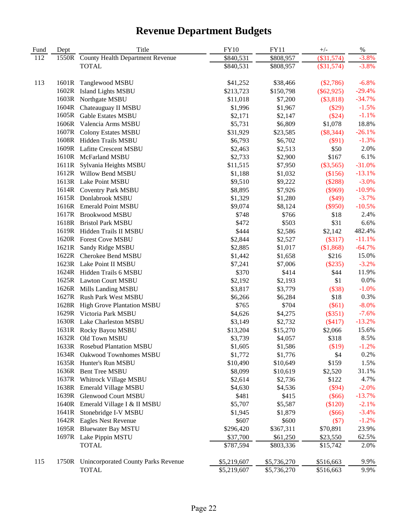## **Revenue Department Budgets**

| Fund | Dept  | Title                                   | <b>FY10</b> | <b>FY11</b> | $+/-$        | $\%$     |
|------|-------|-----------------------------------------|-------------|-------------|--------------|----------|
| 112  | 1550R | <b>County Health Department Revenue</b> | \$840,531   | \$808,957   | $(\$31,574)$ | $-3.8%$  |
|      |       | <b>TOTAL</b>                            | \$840,531   | \$808,957   | $(\$31,574)$ | $-3.8%$  |
| 113  | 1601R | Tanglewood MSBU                         | \$41,252    | \$38,466    | $(\$2,786)$  | $-6.8%$  |
|      | 1602R | <b>Island Lights MSBU</b>               | \$213,723   | \$150,798   | $(\$62,925)$ | $-29.4%$ |
|      | 1603R | Northgate MSBU                          | \$11,018    | \$7,200     | (\$3,818)    | $-34.7%$ |
|      | 1604R | Chateauguay II MSBU                     | \$1,996     | \$1,967     | $(\$29)$     | $-1.5%$  |
|      | 1605R | <b>Gable Estates MSBU</b>               | \$2,171     | \$2,147     | (\$24)       | $-1.1%$  |
|      | 1606R | Valencia Arms MSBU                      | \$5,731     | \$6,809     | \$1,078      | 18.8%    |
|      | 1607R | <b>Colony Estates MSBU</b>              | \$31,929    | \$23,585    | $(\$8,344)$  | $-26.1%$ |
|      |       | 1608R Hidden Trails MSBU                | \$6,793     | \$6,702     | $(\$91)$     | $-1.3%$  |
|      |       | 1609R Lafitte Crescent MSBU             | \$2,463     | \$2,513     | \$50         | 2.0%     |
|      |       | 1610R McFarland MSBU                    | \$2,733     | \$2,900     | \$167        | 6.1%     |
|      |       | 1611R Sylvania Heights MSBU             | \$11,515    | \$7,950     | $(\$3,565)$  | $-31.0%$ |
|      |       | 1612R Willow Bend MSBU                  | \$1,188     | \$1,032     | (\$156)      | $-13.1%$ |
|      |       | 1613R Lake Point MSBU                   | \$9,510     | \$9,222     | (\$288)      | $-3.0%$  |
|      |       | 1614R Coventry Park MSBU                | \$8,895     | \$7,926     | (\$969)      | $-10.9%$ |
|      |       | 1615R Donlabrook MSBU                   | \$1,329     | \$1,280     | $(\$49)$     | $-3.7%$  |
|      |       | 1616R Emerald Point MSBU                | \$9,074     | \$8,124     | $(\$950)$    | $-10.5%$ |
|      |       | 1617R Brookwood MSBU                    | \$748       | \$766       | \$18         | 2.4%     |
|      |       | 1618R Bristol Park MSBU                 | \$472       | \$503       | \$31         | 6.6%     |
|      |       | 1619R Hidden Trails II MSBU             | \$444       | \$2,586     | \$2,142      | 482.4%   |
|      |       | 1620R Forest Cove MSBU                  | \$2,844     | \$2,527     | (\$317)      | $-11.1%$ |
|      | 1621R | Sandy Ridge MSBU                        | \$2,885     | \$1,017     | (\$1,868)    | $-64.7%$ |
|      | 1622R | Cherokee Bend MSBU                      | \$1,442     | \$1,658     | \$216        | 15.0%    |
|      |       | 1623R Lake Point II MSBU                | \$7,241     | \$7,006     | $(\$235)$    | $-3.2%$  |
|      |       | 1624R Hidden Trails 6 MSBU              | \$370       | \$414       | \$44         | 11.9%    |
|      |       | 1625R Lawton Court MSBU                 | \$2,192     | \$2,193     | \$1          | 0.0%     |
|      |       | 1626R Mills Landing MSBU                | \$3,817     | \$3,779     | (\$38)       | $-1.0%$  |
|      |       | 1627R Rush Park West MSBU               | \$6,266     | \$6,284     | \$18         | 0.3%     |
|      |       | 1628R High Grove Plantation MSBU        | \$765       | \$704       | $(\$61)$     | $-8.0%$  |
|      |       | 1629R Victoria Park MSBU                | \$4,626     | \$4,275     | (\$351)      | $-7.6%$  |
|      |       | 1630R Lake Charleston MSBU              | \$3,149     | \$2,732     | (\$417)      | $-13.2%$ |
|      |       | 1631R Rocky Bayou MSBU                  | \$13,204    | \$15,270    | \$2,066      | 15.6%    |
|      |       | 1632R Old Town MSBU                     | \$3,739     | \$4,057     | \$318        | 8.5%     |
|      |       | 1633R Rosebud Plantation MSBU           | \$1,605     | \$1,586     | (\$19)       | $-1.2%$  |
|      | 1634R | Oakwood Townhomes MSBU                  | \$1,772     | \$1,776     | \$4          | 0.2%     |
|      |       | 1635R Hunter's Run MSBU                 | \$10,490    | \$10,649    | \$159        | 1.5%     |
|      | 1636R | <b>Bent Tree MSBU</b>                   | \$8,099     | \$10,619    | \$2,520      | 31.1%    |
|      |       | 1637R Whitrock Village MSBU             | \$2,614     | \$2,736     | \$122        | 4.7%     |
|      | 1638R | <b>Emerald Village MSBU</b>             | \$4,630     | \$4,536     | (\$94)       | $-2.0%$  |
|      | 1639R | <b>Glenwood Court MSBU</b>              | \$481       | \$415       | (\$66)       | $-13.7%$ |
|      | 1640R | Emerald Village I & II MSBU             | \$5,707     | \$5,587     | (\$120)      | $-2.1%$  |
|      | 1641R | Stonebridge I-V MSBU                    | \$1,945     | \$1,879     | $(\$66)$     | $-3.4%$  |
|      |       | 1642R Eagles Nest Revenue               | \$607       | \$600       | (\$7)        | $-1.2%$  |
|      | 1695R | <b>Bluewater Bay MSTU</b>               | \$296,420   | \$367,311   | \$70,891     | 23.9%    |
|      |       | 1697R Lake Pippin MSTU                  | \$37,700    | \$61,250    | \$23,550     | 62.5%    |
|      |       | <b>TOTAL</b>                            | \$787,594   | \$803,336   | \$15,742     | 2.0%     |
| 115  | 1750R | Unincorporated County Parks Revenue     | \$5,219,607 | \$5,736,270 | \$516,663    | 9.9%     |
|      |       | <b>TOTAL</b>                            | \$5,219,607 | \$5,736,270 | \$516,663    | 9.9%     |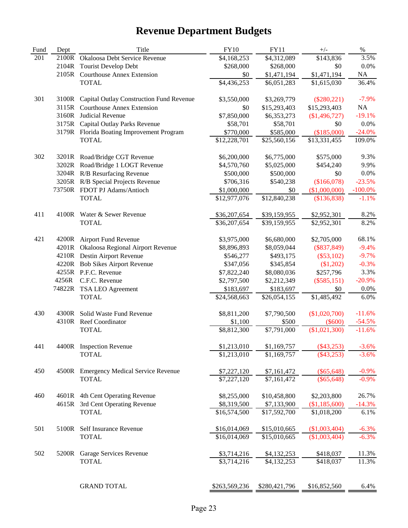## **Revenue Department Budgets**

| Fund | Dept  | Title                                     | <b>FY10</b>                 | <b>FY11</b>   | $+/-$                        | $\%$       |
|------|-------|-------------------------------------------|-----------------------------|---------------|------------------------------|------------|
| 201  | 2100R | Okaloosa Debt Service Revenue             | \$4,168,253                 | \$4,312,089   | \$143,836                    | 3.5%       |
|      | 2104R | <b>Tourist Develop Debt</b>               | \$268,000                   | \$268,000     | \$0                          | 0.0%       |
|      | 2105R | <b>Courthouse Annex Extension</b>         | \$0                         | \$1,471,194   | \$1,471,194                  | $\rm NA$   |
|      |       | <b>TOTAL</b>                              | \$4,436,253                 | \$6,051,283   | \$1,615,030                  | 36.4%      |
|      |       |                                           |                             |               |                              |            |
| 301  | 3100R | Capital Outlay Construction Fund Revenue  | \$3,550,000                 | \$3,269,779   | $(\$280,221)$                | $-7.9%$    |
|      | 3115R | <b>Courthouse Annex Extension</b>         | \$0                         | \$15,293,403  | \$15,293,403                 | NA         |
|      | 3160R | Judicial Revenue                          | \$7,850,000                 | \$6,353,273   | (\$1,496,727)                | $-19.1%$   |
|      | 3175R | Capital Outlay Parks Revenue              | \$58,701                    | \$58,701      | \$0                          | 0.0%       |
|      |       | 3179R Florida Boating Improvement Program | \$770,000                   | \$585,000     | (\$185,000)                  | $-24.0%$   |
|      |       | <b>TOTAL</b>                              | \$12,228,701                | \$25,560,156  | \$13,331,455                 | 109.0%     |
| 302  |       | 3201R Road/Bridge CGT Revenue             | \$6,200,000                 | \$6,775,000   | \$575,000                    | 9.3%       |
|      |       | 3202R Road/Bridge 1 LOGT Revenue          | \$4,570,760                 | \$5,025,000   | \$454,240                    | 9.9%       |
|      |       | 3204R R/B Resurfacing Revenue             | \$500,000                   | \$500,000     | \$0                          | 0.0%       |
|      |       | 3205R R/B Special Projects Revenue        | \$706,316                   | \$540,238     | (\$166,078)                  | $-23.5%$   |
|      |       | 73750R FDOT PJ Adams/Antioch              |                             | \$0           |                              | $-100.0\%$ |
|      |       | <b>TOTAL</b>                              | \$1,000,000<br>\$12,977,076 | \$12,840,238  | (\$1,000,000)<br>(\$136,838) | $-1.1%$    |
|      |       |                                           |                             |               |                              |            |
| 411  |       | 4100R Water & Sewer Revenue               | \$36,207,654                | \$39,159,955  | \$2,952,301                  | 8.2%       |
|      |       | <b>TOTAL</b>                              | \$36,207,654                | \$39,159,955  | \$2,952,301                  | 8.2%       |
| 421  | 4200R | Airport Fund Revenue                      | \$3,975,000                 | \$6,680,000   | \$2,705,000                  | 68.1%      |
|      | 4201R | Okaloosa Regional Airport Revenue         | \$8,896,893                 | \$8,059,044   | $(\$837,849)$                | $-9.4%$    |
|      |       |                                           |                             |               |                              | $-9.7%$    |
|      |       | 4210R Destin Airport Revenue              | \$546,277                   | \$493,175     | $(\$53,102)$                 |            |
|      |       | 4220R Bob Sikes Airport Revenue           | \$347,056                   | \$345,854     | (\$1,202)                    | $-0.3%$    |
|      |       | 4255R P.F.C. Revenue                      | \$7,822,240                 | \$8,080,036   | \$257,796                    | 3.3%       |
|      | 4256R | C.F.C. Revenue                            | \$2,797,500                 | \$2,212,349   | $(\$585,151)$                | $-20.9%$   |
|      |       | 74822R TSA LEO Agreement                  | \$183,697                   | \$183,697     | \$0                          | 0.0%       |
|      |       | <b>TOTAL</b>                              | \$24,568,663                | \$26,054,155  | \$1,485,492                  | 6.0%       |
| 430  | 4300R | Solid Waste Fund Revenue                  | \$8,811,200                 | \$7,790,500   | (\$1,020,700)                | $-11.6%$   |
|      |       | 4310R Reef Coordinator                    | \$1,100                     | \$500         | $(\$600)$                    | $-54.5%$   |
|      |       | <b>TOTAL</b>                              | \$8,812,300                 | \$7,791,000   | (\$1,021,300)                | $-11.6%$   |
|      |       |                                           |                             |               |                              |            |
| 441  |       | 4400R Inspection Revenue                  | \$1,213,010                 | \$1,169,757   | $(\$43,253)$                 | $-3.6%$    |
|      |       | <b>TOTAL</b>                              | \$1,213,010                 | \$1,169,757   | $(\$43,253)$                 | $-3.6%$    |
| 450  |       | 4500R Emergency Medical Service Revenue   | \$7,227,120                 | \$7,161,472   | $(\$65,648)$                 | $-0.9%$    |
|      |       | <b>TOTAL</b>                              | \$7,227,120                 | \$7,161,472   | $(\$65,648)$                 | $-0.9%$    |
|      |       |                                           |                             |               |                              |            |
| 460  | 4601R | 4th Cent Operating Revenue                | \$8,255,000                 | \$10,458,800  | \$2,203,800                  | 26.7%      |
|      | 4615R | 3rd Cent Operating Revenue                | \$8,319,500                 | \$7,133,900   | (\$1,185,600)                | $-14.3%$   |
|      |       | <b>TOTAL</b>                              | \$16,574,500                | \$17,592,700  | \$1,018,200                  | 6.1%       |
| 501  | 5100R | Self Insurance Revenue                    | \$16,014,069                | \$15,010,665  | (\$1,003,404)                | $-6.3%$    |
|      |       | <b>TOTAL</b>                              | \$16,014,069                | \$15,010,665  | $\overline{(\$1,003,404)}$   | $-6.3\%$   |
|      |       |                                           |                             |               |                              |            |
| 502  |       | 5200R Garage Services Revenue             | \$3,714,216                 | \$4,132,253   | \$418,037                    | 11.3%      |
|      |       | <b>TOTAL</b>                              | \$3,714,216                 | \$4,132,253   | \$418,037                    | 11.3%      |
|      |       |                                           |                             |               |                              |            |
|      |       | <b>GRAND TOTAL</b>                        | \$263,569,236               | \$280,421,796 | \$16,852,560                 | 6.4%       |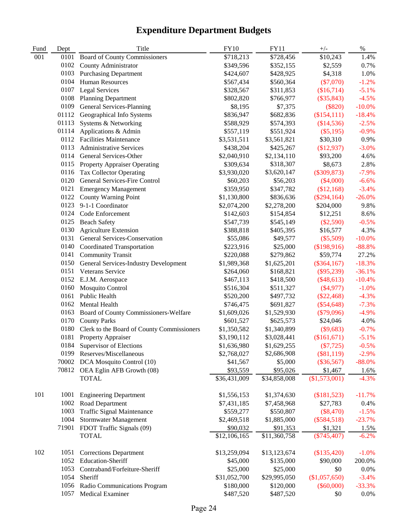| Fund | Dept  | Title                                      | <b>FY10</b>  | <b>FY11</b>  | $+/-$           | $\%$      |
|------|-------|--------------------------------------------|--------------|--------------|-----------------|-----------|
| 001  | 0101  | <b>Board of County Commissioners</b>       | \$718,213    | \$728,456    | \$10,243        | 1.4%      |
|      | 0102  | County Administrator                       | \$349,596    | \$352,155    | \$2,559         | 0.7%      |
|      | 0103  | <b>Purchasing Department</b>               | \$424,607    | \$428,925    | \$4,318         | 1.0%      |
|      | 0104  | <b>Human Resources</b>                     | \$567,434    | \$560,364    | $(\$7,070)$     | $-1.2%$   |
|      | 0107  | <b>Legal Services</b>                      | \$328,567    | \$311,853    | (\$16,714)      | $-5.1%$   |
|      | 0108  | <b>Planning Department</b>                 | \$802,820    | \$766,977    | $(\$35,843)$    | $-4.5%$   |
|      | 0109  | General Services-Planning                  | \$8,195      | \$7,375      | $(\$820)$       | $-10.0\%$ |
|      | 01112 | Geographical Info Systems                  | \$836,947    | \$682,836    | (\$154,111)     | $-18.4%$  |
|      | 01113 | Systems & Networking                       | \$588,929    | \$574,393    | (\$14,536)      | $-2.5%$   |
|      | 01114 | Applications & Admin                       | \$557,119    | \$551,924    | $(\$5,195)$     | $-0.9%$   |
|      | 0112  | <b>Facilities Maintenance</b>              | \$3,531,511  | \$3,561,821  | \$30,310        | 0.9%      |
|      | 0113  | <b>Administrative Services</b>             | \$438,204    | \$425,267    | (\$12,937)      | $-3.0%$   |
|      | 0114  | General Services-Other                     | \$2,040,910  | \$2,134,110  | \$93,200        | 4.6%      |
|      | 0115  | <b>Property Appraiser Operating</b>        | \$309,634    | \$318,307    | \$8,673         | 2.8%      |
|      | 0116  | <b>Tax Collector Operating</b>             | \$3,930,020  | \$3,620,147  | $(\$309,873)$   | $-7.9%$   |
|      | 0120  | <b>General Services-Fire Control</b>       | \$60,203     | \$56,203     | $(\$4,000)$     | $-6.6%$   |
|      | 0121  | <b>Emergency Management</b>                | \$359,950    | \$347,782    | (\$12,168)      | $-3.4%$   |
|      | 0122  | <b>County Warning Point</b>                | \$1,130,800  | \$836,636    | $(\$294,164)$   | $-26.0%$  |
|      | 0123  | 9-1-1 Coordinator                          | \$2,074,200  | \$2,278,200  | \$204,000       | 9.8%      |
|      | 0124  | Code Enforcement                           | \$142,603    | \$154,854    | \$12,251        | 8.6%      |
|      | 0125  | <b>Beach Safety</b>                        | \$547,739    | \$545,149    | $(\$2,590)$     | $-0.5%$   |
|      | 0130  | <b>Agriculture Extension</b>               | \$388,818    | \$405,395    | \$16,577        | 4.3%      |
|      | 0131  | General Services-Conservation              | \$55,086     | \$49,577     | $(\$5,509)$     | $-10.0\%$ |
|      | 0140  | <b>Coordinated Transportation</b>          | \$223,916    | \$25,000     | (\$198,916)     | $-88.8%$  |
|      | 0141  | <b>Community Transit</b>                   | \$220,088    | \$279,862    | \$59,774        | 27.2%     |
|      | 0150  | General Services-Industry Development      | \$1,989,368  | \$1,625,201  | $(\$364,167)$   | $-18.3%$  |
|      | 0151  | Veterans Service                           | \$264,060    | \$168,821    | $(\$95,239)$    | $-36.1%$  |
|      | 0152  | E.J.M. Aerospace                           | \$467,113    | \$418,500    | $(\$48,613)$    | $-10.4%$  |
|      | 0160  | Mosquito Control                           | \$516,304    | \$511,327    | $(\$4,977)$     | $-1.0%$   |
|      | 0161  | Public Health                              | \$520,200    | \$497,732    | $(\$22,468)$    | $-4.3%$   |
|      | 0162  | Mental Health                              | \$746,475    | \$691,827    | $(\$54,648)$    | $-7.3%$   |
|      | 0163  | Board of County Commissioners-Welfare      | \$1,609,026  | \$1,529,930  | (\$79,096)      | $-4.9%$   |
|      | 0170  | <b>County Parks</b>                        | \$601,527    | \$625,573    | \$24,046        | 4.0%      |
|      | 0180  | Clerk to the Board of County Commissioners | \$1,350,582  | \$1,340,899  | $(\$9,683)$     | $-0.7%$   |
|      | 0181  | <b>Property Appraiser</b>                  | \$3,190,112  | \$3,028,441  | (\$161,671)     | $-5.1%$   |
|      | 0184  | Supervisor of Elections                    | \$1,636,980  | \$1,629,255  | $(\$7,725)$     | $-0.5\%$  |
|      | 0199  | Reserves/Miscellaneous                     | \$2,768,027  | \$2,686,908  | $(\$81,119)$    | $-2.9%$   |
|      | 70002 | DCA Mosquito Control (10)                  | \$41,567     | \$5,000      | $(\$36,567)$    | $-88.0\%$ |
|      | 70812 | OEA Eglin AFB Growth (08)                  | \$93,559     | \$95,026     | \$1,467         | 1.6%      |
|      |       | <b>TOTAL</b>                               | \$36,431,009 | \$34,858,008 | $(\$1,573,001)$ | $-4.3%$   |
| 101  | 1001  | <b>Engineering Department</b>              | \$1,556,153  | \$1,374,630  | (\$181,523)     | $-11.7%$  |
|      | 1002  | Road Department                            | \$7,431,185  | \$7,458,968  | \$27,783        | 0.4%      |
|      | 1003  | Traffic Signal Maintenance                 | \$559,277    | \$550,807    | (\$8,470)       | $-1.5%$   |
|      | 1004  | Stormwater Management                      | \$2,469,518  | \$1,885,000  | $(\$584,518)$   | $-23.7%$  |
|      | 71901 | FDOT Traffic Signals (09)                  | \$90,032     | \$91,353     | \$1,321         | 1.5%      |
|      |       | <b>TOTAL</b>                               | \$12,106,165 | \$11,360,758 | $(\$745,407)$   | $-6.2%$   |
| 102  | 1051  | <b>Corrections Department</b>              | \$13,259,094 | \$13,123,674 | (\$135,420)     | $-1.0%$   |
|      | 1052  | Education-Sheriff                          | \$45,000     | \$135,000    | \$90,000        | 200.0%    |
|      | 1053  | Contraband/Forfeiture-Sheriff              | \$25,000     | \$25,000     | \$0             | 0.0%      |
|      | 1054  | Sheriff                                    | \$31,052,700 | \$29,995,050 | (\$1,057,650)   | $-3.4%$   |
|      | 1056  | Radio Communications Program               | \$180,000    | \$120,000    | $(\$60,000)$    | $-33.3%$  |
|      | 1057  | Medical Examiner                           | \$487,520    | \$487,520    | \$0             | 0.0%      |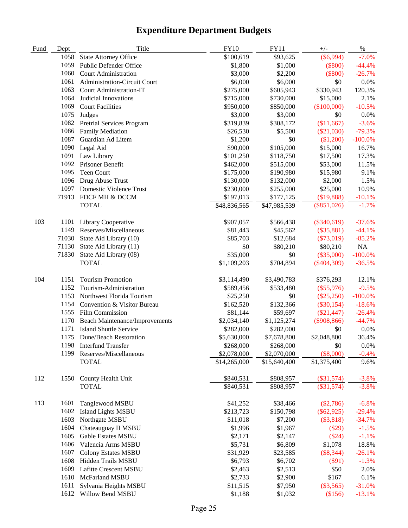| Fund | Dept  | Title                                 | <b>FY10</b>  | <b>FY11</b>  | $+/-$         | $\%$       |
|------|-------|---------------------------------------|--------------|--------------|---------------|------------|
|      | 1058  | <b>State Attorney Office</b>          | \$100,619    | \$93,625     | $(\$6,994)$   | $-7.0%$    |
|      | 1059  | Public Defender Office                | \$1,800      | \$1,000      | $(\$800)$     | $-44.4%$   |
|      | 1060  | <b>Court Administration</b>           | \$3,000      | \$2,200      | $(\$800)$     | $-26.7%$   |
|      | 1061  | Administration-Circuit Court          | \$6,000      | \$6,000      | \$0           | 0.0%       |
|      | 1063  | Court Administration-IT               | \$275,000    | \$605,943    | \$330,943     | 120.3%     |
|      | 1064  | Judicial Innovations                  | \$715,000    | \$730,000    | \$15,000      | 2.1%       |
|      | 1069  | <b>Court Facilities</b>               | \$950,000    | \$850,000    | (\$100,000)   | $-10.5%$   |
|      | 1075  | Judges                                | \$3,000      | \$3,000      | \$0           | 0.0%       |
|      | 1082  | Pretrial Services Program             | \$319,839    | \$308,172    | (\$11,667)    | $-3.6%$    |
|      | 1086  | Family Mediation                      | \$26,530     | \$5,500      | $(\$21,030)$  | $-79.3%$   |
|      | 1087  | Guardian Ad Litem                     | \$1,200      | \$0          | (\$1,200)     | $-100.0\%$ |
|      | 1090  | Legal Aid                             | \$90,000     | \$105,000    | \$15,000      | 16.7%      |
|      | 1091  | Law Library                           | \$101,250    | \$118,750    | \$17,500      | 17.3%      |
|      | 1092  | Prisoner Benefit                      | \$462,000    | \$515,000    | \$53,000      | 11.5%      |
|      | 1095  | Teen Court                            | \$175,000    | \$190,980    | \$15,980      | 9.1%       |
|      | 1096  | Drug Abuse Trust                      | \$130,000    | \$132,000    | \$2,000       | 1.5%       |
|      |       | 1097 Domestic Violence Trust          | \$230,000    | \$255,000    | \$25,000      | 10.9%      |
|      | 71913 | FDCF MH & DCCM                        | \$197,013    | \$177,125    | (\$19,888)    | $-10.1%$   |
|      |       | <b>TOTAL</b>                          | \$48,836,565 | \$47,985,539 | $(\$851,026)$ | $-1.7%$    |
|      |       |                                       |              |              |               |            |
| 103  | 1101  | Library Cooperative                   | \$907,057    | \$566,438    | $(\$340,619)$ | $-37.6%$   |
|      | 1149  | Reserves/Miscellaneous                | \$81,443     | \$45,562     | $(\$35,881)$  | $-44.1%$   |
|      | 71030 | State Aid Library (10)                | \$85,703     | \$12,684     | $(\$73,019)$  | $-85.2%$   |
|      | 71130 | State Aid Library (11)                | \$0          | \$80,210     | \$80,210      | NA         |
|      | 71830 | State Aid Library (08)                | \$35,000     | \$0          | $(\$35,000)$  | $-100.0\%$ |
|      |       | <b>TOTAL</b>                          | \$1,109,203  | \$704,894    | $(\$404,309)$ | $-36.5%$   |
|      |       |                                       |              |              |               |            |
| 104  | 1151  | <b>Tourism Promotion</b>              | \$3,114,490  | \$3,490,783  | \$376,293     | 12.1%      |
|      | 1152  | Tourism-Administration                | \$589,456    | \$533,480    | $(\$55,976)$  | $-9.5%$    |
|      | 1153  | Northwest Florida Tourism             | \$25,250     | \$0          | $(\$25,250)$  | $-100.0\%$ |
|      | 1154  | Convention & Visitor Bureau           | \$162,520    | \$132,366    | $(\$30,154)$  | $-18.6%$   |
|      | 1555  | Film Commission                       | \$81,144     | \$59,697     | $(\$21,447)$  | $-26.4%$   |
|      | 1170  | <b>Beach Maintenance/Improvements</b> | \$2,034,140  | \$1,125,274  | $(\$908,866)$ | $-44.7%$   |
|      | 1171  | <b>Island Shuttle Service</b>         | \$282,000    | \$282,000    | \$0           | 0.0%       |
|      |       | 1175 Dune/Beach Restoration           | \$5,630,000  | \$7,678,800  | \$2,048,800   | 36.4%      |
|      |       | 1198 Interfund Transfer               | \$268,000    | \$268,000    | \$0           | $0.0\%$    |
|      | 1199  | Reserves/Miscellaneous                | \$2,078,000  | \$2,070,000  | $(\$8,000)$   | $-0.4%$    |
|      |       | <b>TOTAL</b>                          | \$14,265,000 | \$15,640,400 | \$1,375,400   | 9.6%       |
|      |       |                                       |              |              |               |            |
| 112  | 1550  | County Health Unit                    | \$840,531    | \$808,957    | $(\$31,574)$  | $-3.8%$    |
|      |       | <b>TOTAL</b>                          | \$840,531    | \$808,957    | $(\$31,574)$  | $-3.8%$    |
|      |       |                                       |              |              |               |            |
| 113  | 1601  | Tanglewood MSBU                       | \$41,252     | \$38,466     | $(\$2,786)$   | $-6.8%$    |
|      | 1602  | <b>Island Lights MSBU</b>             | \$213,723    | \$150,798    | $(\$62,925)$  | $-29.4%$   |
|      | 1603  | Northgate MSBU                        | \$11,018     | \$7,200      | (\$3,818)     | $-34.7%$   |
|      | 1604  | Chateauguay II MSBU                   | \$1,996      | \$1,967      | (\$29)        | $-1.5%$    |
|      | 1605  | Gable Estates MSBU                    | \$2,171      | \$2,147      | (\$24)        | $-1.1%$    |
|      | 1606  | Valencia Arms MSBU                    | \$5,731      | \$6,809      | \$1,078       | 18.8%      |
|      | 1607  | <b>Colony Estates MSBU</b>            | \$31,929     | \$23,585     | $(\$8,344)$   | $-26.1%$   |
|      | 1608  | Hidden Trails MSBU                    | \$6,793      | \$6,702      | $(\$91)$      | $-1.3%$    |
|      | 1609  | Lafitte Crescent MSBU                 | \$2,463      | \$2,513      | \$50          | 2.0%       |
|      | 1610  | McFarland MSBU                        | \$2,733      | \$2,900      | \$167         | 6.1%       |
|      | 1611  | Sylvania Heights MSBU                 | \$11,515     | \$7,950      | $(\$3,565)$   | $-31.0%$   |
|      | 1612  | Willow Bend MSBU                      | \$1,188      | \$1,032      | (\$156)       | $-13.1%$   |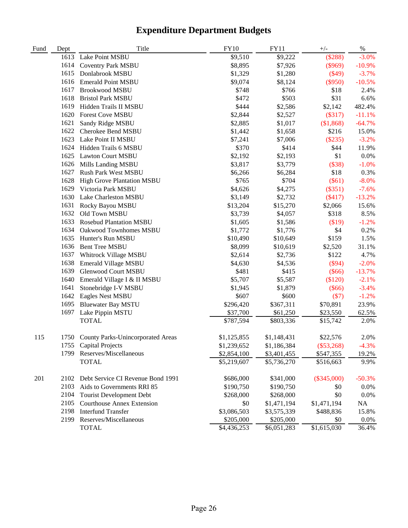| Fund | Dept | Title                                  | <b>FY10</b> | <b>FY11</b> | $+/-$         | $\%$     |
|------|------|----------------------------------------|-------------|-------------|---------------|----------|
|      | 1613 | Lake Point MSBU                        | \$9,510     | \$9,222     | (\$288)       | $-3.0%$  |
|      | 1614 | <b>Coventry Park MSBU</b>              | \$8,895     | \$7,926     | $(\$969)$     | $-10.9%$ |
|      | 1615 | Donlabrook MSBU                        | \$1,329     | \$1,280     | $(\$49)$      | $-3.7%$  |
|      | 1616 | <b>Emerald Point MSBU</b>              | \$9,074     | \$8,124     | $(\$950)$     | $-10.5%$ |
|      | 1617 | Brookwood MSBU                         | \$748       | \$766       | \$18          | 2.4%     |
|      | 1618 | <b>Bristol Park MSBU</b>               | \$472       | \$503       | \$31          | 6.6%     |
|      | 1619 | Hidden Trails II MSBU                  | \$444       | \$2,586     | \$2,142       | 482.4%   |
|      | 1620 | <b>Forest Cove MSBU</b>                | \$2,844     | \$2,527     | (\$317)       | $-11.1%$ |
|      | 1621 | Sandy Ridge MSBU                       | \$2,885     | \$1,017     | (\$1,868)     | $-64.7%$ |
|      | 1622 | Cherokee Bend MSBU                     | \$1,442     | \$1,658     | \$216         | 15.0%    |
|      | 1623 | Lake Point II MSBU                     | \$7,241     | \$7,006     | (\$235)       | $-3.2%$  |
|      | 1624 | Hidden Trails 6 MSBU                   | \$370       | \$414       | \$44          | 11.9%    |
|      | 1625 | <b>Lawton Court MSBU</b>               | \$2,192     | \$2,193     | \$1           | 0.0%     |
|      | 1626 | Mills Landing MSBU                     | \$3,817     | \$3,779     | (\$38)        | $-1.0%$  |
|      | 1627 | Rush Park West MSBU                    | \$6,266     | \$6,284     | \$18          | 0.3%     |
|      | 1628 | <b>High Grove Plantation MSBU</b>      | \$765       | \$704       | $(\$61)$      | $-8.0%$  |
|      | 1629 | Victoria Park MSBU                     | \$4,626     | \$4,275     | $(\$351)$     | $-7.6%$  |
|      | 1630 | Lake Charleston MSBU                   | \$3,149     | \$2,732     | (\$417)       | $-13.2%$ |
|      | 1631 | Rocky Bayou MSBU                       | \$13,204    | \$15,270    | \$2,066       | 15.6%    |
|      | 1632 | Old Town MSBU                          | \$3,739     | \$4,057     | \$318         | 8.5%     |
|      | 1633 | Rosebud Plantation MSBU                | \$1,605     | \$1,586     | \$19)         | $-1.2%$  |
|      | 1634 | Oakwood Townhomes MSBU                 | \$1,772     | \$1,776     | \$4           | 0.2%     |
|      | 1635 | Hunter's Run MSBU                      | \$10,490    | \$10,649    | \$159         | 1.5%     |
|      | 1636 | <b>Bent Tree MSBU</b>                  | \$8,099     | \$10,619    | \$2,520       | 31.1%    |
|      | 1637 | Whitrock Village MSBU                  | \$2,614     | \$2,736     | \$122         | 4.7%     |
|      | 1638 | <b>Emerald Village MSBU</b>            | \$4,630     | \$4,536     | $(\$94)$      | $-2.0%$  |
|      | 1639 | <b>Glenwood Court MSBU</b>             | \$481       | \$415       | $(\$66)$      | $-13.7%$ |
|      | 1640 | Emerald Village I & II MSBU            | \$5,707     | \$5,587     | (\$120)       | $-2.1%$  |
|      | 1641 | Stonebridge I-V MSBU                   | \$1,945     | \$1,879     | $(\$66)$      | $-3.4%$  |
|      | 1642 | Eagles Nest MSBU                       | \$607       | \$600       | (S7)          | $-1.2%$  |
|      | 1695 | <b>Bluewater Bay MSTU</b>              | \$296,420   | \$367,311   | \$70,891      | 23.9%    |
|      | 1697 | Lake Pippin MSTU                       | \$37,700    | \$61,250    | \$23,550      | 62.5%    |
|      |      | <b>TOTAL</b>                           | \$787,594   | \$803,336   | \$15,742      | 2.0%     |
| 115  |      | 1750 County Parks-Unincorporated Areas | \$1,125,855 | \$1,148,431 | \$22,576      | 2.0%     |
|      | 1/55 | <b>Capital Projects</b>                | \$1,239,652 | \$1,186,384 | $(\$53,268)$  | $-4.3%$  |
|      | 1799 | Reserves/Miscellaneous                 | \$2,854,100 | \$3,401,455 | \$547,355     | 19.2%    |
|      |      | <b>TOTAL</b>                           | \$5,219,607 | \$5,736,270 | \$516,663     | 9.9%     |
| 201  | 2102 | Debt Service CI Revenue Bond 1991      | \$686,000   | \$341,000   | $(\$345,000)$ | $-50.3%$ |
|      | 2103 | Aids to Governments RRI 85             | \$190,750   | \$190,750   | \$0           | 0.0%     |
|      | 2104 | <b>Tourist Development Debt</b>        | \$268,000   | \$268,000   | \$0           | 0.0%     |
|      | 2105 | <b>Courthouse Annex Extension</b>      | \$0         | \$1,471,194 | \$1,471,194   | NA       |
|      | 2198 | <b>Interfund Transfer</b>              | \$3,086,503 | \$3,575,339 | \$488,836     | 15.8%    |
|      | 2199 | Reserves/Miscellaneous                 | \$205,000   | \$205,000   | \$0           | $0.0\%$  |
|      |      | <b>TOTAL</b>                           | \$4,436,253 | \$6,051,283 | \$1,615,030   | 36.4%    |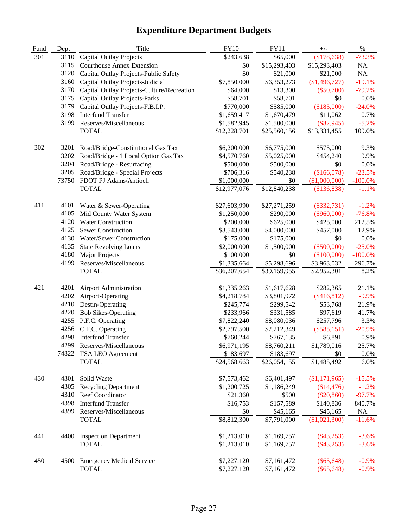| Fund | Dept  | Title                                                   | <b>FY10</b>              | <b>FY11</b>  | $+/-$                        | $\%$       |
|------|-------|---------------------------------------------------------|--------------------------|--------------|------------------------------|------------|
| 301  | 3110  | <b>Capital Outlay Projects</b>                          | \$243,638                | \$65,000     | (\$178,638)                  | $-73.3%$   |
|      | 3115  | <b>Courthouse Annex Extension</b>                       | \$0                      | \$15,293,403 | \$15,293,403                 | NA         |
|      | 3120  | Capital Outlay Projects-Public Safety                   | \$0                      | \$21,000     | \$21,000                     | $\rm NA$   |
|      | 3160  | Capital Outlay Projects-Judicial                        | \$7,850,000              | \$6,353,273  | (\$1,496,727)                | $-19.1%$   |
|      | 3170  | Capital Outlay Projects-Culture/Recreation              | \$64,000                 | \$13,300     | $(\$50,700)$                 | $-79.2%$   |
|      | 3175  | <b>Capital Outlay Projects-Parks</b>                    | \$58,701                 | \$58,701     | \$0                          | 0.0%       |
|      | 3179  | Capital Outlay Projects-F.B.I.P.                        | \$770,000                | \$585,000    | (\$185,000)                  | $-24.0%$   |
|      | 3198  | <b>Interfund Transfer</b>                               | \$1,659,417              | \$1,670,479  | \$11,062                     | 0.7%       |
|      | 3199  | Reserves/Miscellaneous                                  | \$1,582,945              | \$1,500,000  | $(\$82,945)$                 | $-5.2%$    |
|      |       | <b>TOTAL</b>                                            | \$12,228,701             | \$25,560,156 | \$13,331,455                 | 109.0%     |
| 302  | 3201  | Road/Bridge-Constitutional Gas Tax                      | \$6,200,000              | \$6,775,000  | \$575,000                    | 9.3%       |
|      | 3202  | Road/Bridge - 1 Local Option Gas Tax                    | \$4,570,760              | \$5,025,000  | \$454,240                    | 9.9%       |
|      | 3204  | Road/Bridge - Resurfacing                               | \$500,000                | \$500,000    | \$0                          | 0.0%       |
|      | 3205  |                                                         |                          | \$540,238    |                              | $-23.5%$   |
|      | 73750 | Road/Bridge - Special Projects<br>FDOT PJ Adams/Antioch | \$706,316<br>\$1,000,000 | \$0          | (\$166,078)<br>(\$1,000,000) | $-100.0\%$ |
|      |       | <b>TOTAL</b>                                            | \$12,977,076             | \$12,840,238 | (\$136,838)                  | $-1.1%$    |
|      |       |                                                         |                          |              |                              |            |
| 411  | 4101  | Water & Sewer-Operating                                 | \$27,603,990             | \$27,271,259 | $(\$332,731)$                | $-1.2%$    |
|      | 4105  | Mid County Water System                                 | \$1,250,000              | \$290,000    | $(\$960,000)$                | $-76.8%$   |
|      | 4120  | <b>Water Construction</b>                               | \$200,000                | \$625,000    | \$425,000                    | 212.5%     |
|      | 4125  | <b>Sewer Construction</b>                               | \$3,543,000              | \$4,000,000  | \$457,000                    | 12.9%      |
|      | 4130  | Water/Sewer Construction                                | \$175,000                | \$175,000    | \$0                          | 0.0%       |
|      | 4135  | <b>State Revolving Loans</b>                            | \$2,000,000              | \$1,500,000  | $(\$500,000)$                | $-25.0%$   |
|      | 4180  | <b>Major Projects</b>                                   | \$100,000                | \$0          | (\$100,000)                  | $-100.0%$  |
|      | 4199  | Reserves/Miscellaneous                                  | \$1,335,664              | \$5,298,696  | \$3,963,032                  | 296.7%     |
|      |       | <b>TOTAL</b>                                            | \$36,207,654             | \$39,159,955 | \$2,952,301                  | 8.2%       |
| 421  | 4201  | <b>Airport Administration</b>                           | \$1,335,263              | \$1,617,628  | \$282,365                    | 21.1%      |
|      | 4202  | Airport-Operating                                       | \$4,218,784              | \$3,801,972  | $(\$416,812)$                | $-9.9%$    |
|      | 4210  | Destin-Operating                                        | \$245,774                | \$299,542    | \$53,768                     | 21.9%      |
|      | 4220  | <b>Bob Sikes-Operating</b>                              | \$233,966                | \$331,585    | \$97,619                     | 41.7%      |
|      | 4255  | P.F.C. Operating                                        | \$7,822,240              | \$8,080,036  | \$257,796                    | 3.3%       |
|      | 4256  | C.F.C. Operating                                        | \$2,797,500              | \$2,212,349  | $(\$585,151)$                | $-20.9%$   |
|      |       | 4298 Interfund Transfer                                 | \$760,244                | \$767,135    | \$6,891                      | 0.9%       |
|      |       | 4299 Reserves/Miscellaneous                             | \$6,971,195              | \$8,760,211  | \$1,789,016                  | 25.7%      |
|      | 74822 | TSA LEO Agreement                                       | \$183,697                | \$183,697    | \$0                          | $0.0\%$    |
|      |       | <b>TOTAL</b>                                            | \$24,568,663             | \$26,054,155 | \$1,485,492                  | 6.0%       |
| 430  | 4301  | Solid Waste                                             | \$7,573,462              | \$6,401,497  | $(\$1,171,965)$              | $-15.5%$   |
|      | 4305  | <b>Recycling Department</b>                             | \$1,200,725              | \$1,186,249  | (\$14,476)                   | $-1.2%$    |
|      | 4310  | Reef Coordinator                                        | \$21,360                 | \$500        | $(\$20,860)$                 | $-97.7%$   |
|      | 4398  | <b>Interfund Transfer</b>                               | \$16,753                 | \$157,589    | \$140,836                    | 840.7%     |
|      | 4399  | Reserves/Miscellaneous                                  | \$0                      | \$45,165     | \$45,165                     | NA         |
|      |       | <b>TOTAL</b>                                            | \$8,812,300              | \$7,791,000  | (\$1,021,300)                | $-11.6%$   |
| 441  | 4400  | <b>Inspection Department</b>                            | \$1,213,010              | \$1,169,757  | $(\$43,253)$                 | $-3.6%$    |
|      |       | <b>TOTAL</b>                                            | \$1,213,010              | \$1,169,757  | $(\$43,253)$                 | $-3.6%$    |
|      |       |                                                         |                          |              |                              |            |
| 450  | 4500  | <b>Emergency Medical Service</b>                        | \$7,227,120              | \$7,161,472  | $(\$65,648)$                 | $-0.9\%$   |
|      |       | <b>TOTAL</b>                                            | \$7,227,120              | \$7,161,472  | $(\$65,648)$                 | $-0.9%$    |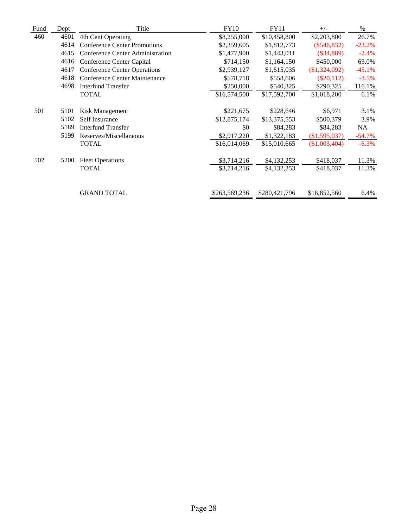| Fund | Dept | Title                                   | <b>FY10</b>   | <b>FY11</b>   | $+/-$           | $\%$     |
|------|------|-----------------------------------------|---------------|---------------|-----------------|----------|
| 460  | 4601 | 4th Cent Operating                      | \$8,255,000   | \$10,458,800  | \$2,203,800     | 26.7%    |
|      | 4614 | <b>Conference Center Promotions</b>     | \$2,359,605   | \$1,812,773   | $(\$546,832)$   | $-23.2%$ |
|      | 4615 | <b>Conference Center Administration</b> | \$1,477,900   | \$1,443,011   | $(\$34,889)$    | $-2.4%$  |
|      | 4616 | Conference Center Capital               | \$714,150     | \$1,164,150   | \$450,000       | 63.0%    |
|      | 4617 | <b>Conference Center Operations</b>     | \$2,939,127   | \$1,615,035   | $(\$1,324,092)$ | $-45.1%$ |
|      | 4618 | Conference Center Maintenance           | \$578,718     | \$558,606     | $(\$20,112)$    | $-3.5%$  |
|      | 4698 | <b>Interfund Transfer</b>               | \$250,000     | \$540,325     | \$290,325       | 116.1%   |
|      |      | <b>TOTAL</b>                            | \$16,574,500  | \$17,592,700  | \$1,018,200     | 6.1%     |
|      |      |                                         |               |               |                 |          |
| 501  | 5101 | <b>Risk Management</b>                  | \$221,675     | \$228,646     | \$6,971         | 3.1%     |
|      | 5102 | Self Insurance                          | \$12,875,174  | \$13,375,553  | \$500,379       | 3.9%     |
|      | 5189 | Interfund Transfer                      | \$0           | \$84,283      | \$84,283        | NA       |
|      | 5199 | Reserves/Miscellaneous                  | \$2,917,220   | \$1,322,183   | (\$1,595,037)   | $-54.7%$ |
|      |      | <b>TOTAL</b>                            | \$16,014,069  | \$15,010,665  | $(\$1,003,404)$ | $-6.3\%$ |
|      |      |                                         |               |               |                 |          |
| 502  | 5200 | <b>Fleet Operations</b>                 | \$3,714,216   | \$4,132,253   | \$418,037       | 11.3%    |
|      |      | <b>TOTAL</b>                            | \$3,714,216   | \$4,132,253   | \$418,037       | 11.3%    |
|      |      |                                         |               |               |                 |          |
|      |      | <b>GRAND TOTAL</b>                      | \$263,569,236 | \$280,421,796 | \$16,852,560    | 6.4%     |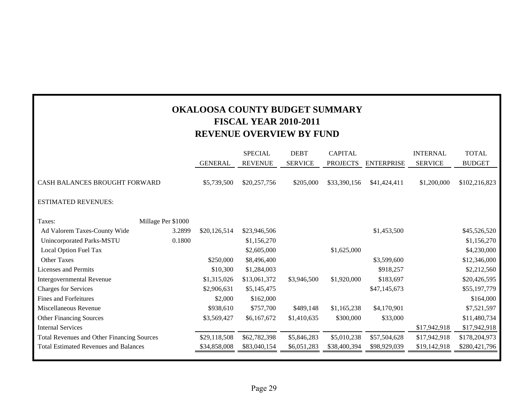| <b>OKALOOSA COUNTY BUDGET SUMMARY</b><br><b>FISCAL YEAR 2010-2011</b><br><b>REVENUE OVERVIEW BY FUND</b> |                    |                |                |                |                 |                   |                 |               |
|----------------------------------------------------------------------------------------------------------|--------------------|----------------|----------------|----------------|-----------------|-------------------|-----------------|---------------|
|                                                                                                          |                    |                | <b>SPECIAL</b> | <b>DEBT</b>    | <b>CAPITAL</b>  |                   | <b>INTERNAL</b> | <b>TOTAL</b>  |
|                                                                                                          |                    | <b>GENERAL</b> | <b>REVENUE</b> | <b>SERVICE</b> | <b>PROJECTS</b> | <b>ENTERPRISE</b> | <b>SERVICE</b>  | <b>BUDGET</b> |
| CASH BALANCES BROUGHT FORWARD                                                                            |                    | \$5,739,500    | \$20,257,756   | \$205,000      | \$33,390,156    | \$41,424,411      | \$1,200,000     | \$102,216,823 |
| <b>ESTIMATED REVENUES:</b>                                                                               |                    |                |                |                |                 |                   |                 |               |
| Taxes:                                                                                                   | Millage Per \$1000 |                |                |                |                 |                   |                 |               |
| Ad Valorem Taxes-County Wide                                                                             | 3.2899             | \$20,126,514   | \$23,946,506   |                |                 | \$1,453,500       |                 | \$45,526,520  |
| <b>Unincorporated Parks-MSTU</b>                                                                         | 0.1800             |                | \$1,156,270    |                |                 |                   |                 | \$1,156,270   |
| Local Option Fuel Tax                                                                                    |                    |                | \$2,605,000    |                | \$1,625,000     |                   |                 | \$4,230,000   |
| <b>Other Taxes</b>                                                                                       |                    | \$250,000      | \$8,496,400    |                |                 | \$3,599,600       |                 | \$12,346,000  |
| <b>Licenses and Permits</b>                                                                              |                    | \$10,300       | \$1,284,003    |                |                 | \$918,257         |                 | \$2,212,560   |
| Intergovernmental Revenue                                                                                |                    | \$1,315,026    | \$13,061,372   | \$3,946,500    | \$1,920,000     | \$183,697         |                 | \$20,426,595  |
| <b>Charges for Services</b>                                                                              |                    | \$2,906,631    | \$5,145,475    |                |                 | \$47,145,673      |                 | \$55,197,779  |
| <b>Fines and Forfeitures</b>                                                                             |                    | \$2,000        | \$162,000      |                |                 |                   |                 | \$164,000     |
| Miscellaneous Revenue                                                                                    |                    | \$938,610      | \$757,700      | \$489,148      | \$1,165,238     | \$4,170,901       |                 | \$7,521,597   |
| <b>Other Financing Sources</b>                                                                           |                    | \$3,569,427    | \$6,167,672    | \$1,410,635    | \$300,000       | \$33,000          |                 | \$11,480,734  |
| <b>Internal Services</b>                                                                                 |                    |                |                |                |                 |                   | \$17,942,918    | \$17,942,918  |
| <b>Total Revenues and Other Financing Sources</b>                                                        |                    | \$29,118,508   | \$62,782,398   | \$5,846,283    | \$5,010,238     | \$57,504,628      | \$17,942,918    | \$178,204,973 |
| <b>Total Estimated Revenues and Balances</b>                                                             |                    | \$34,858,008   | \$83,040,154   | \$6,051,283    | \$38,400,394    | \$98,929,039      | \$19,142,918    | \$280,421,796 |
|                                                                                                          |                    |                |                |                |                 |                   |                 |               |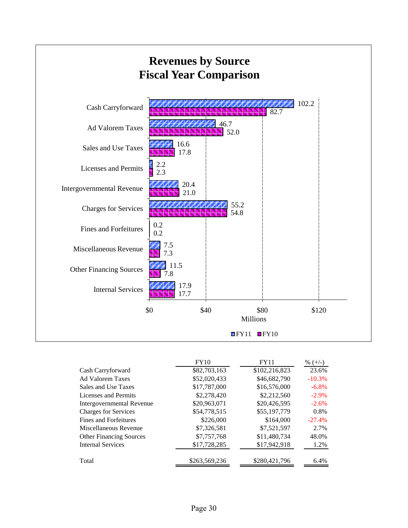

|                                  | <b>FY10</b>   | FY11          | % $(+/-)$ |
|----------------------------------|---------------|---------------|-----------|
| Cash Carryforward                | \$82,703,163  | \$102,216,823 | 23.6%     |
| <b>Ad Valorem Taxes</b>          | \$52,020,433  | \$46,682,790  | $-10.3%$  |
| Sales and Use Taxes              | \$17,787,000  | \$16,576,000  | $-6.8%$   |
| Licenses and Permits             | \$2,278,420   | \$2,212,560   | $-2.9\%$  |
| <b>Intergovernmental Revenue</b> | \$20,963,071  | \$20,426,595  | $-2.6%$   |
| <b>Charges for Services</b>      | \$54,778,515  | \$55,197,779  | $0.8\%$   |
| Fines and Forfeitures            | \$226,000     | \$164,000     | $-27.4%$  |
| Miscellaneous Revenue            | \$7,326,581   | \$7,521,597   | 2.7%      |
| <b>Other Financing Sources</b>   | \$7,757,768   | \$11,480,734  | 48.0%     |
| <b>Internal Services</b>         | \$17,728,285  | \$17,942,918  | 1.2%      |
| Total                            | \$263,569,236 | \$280,421,796 | 6.4%      |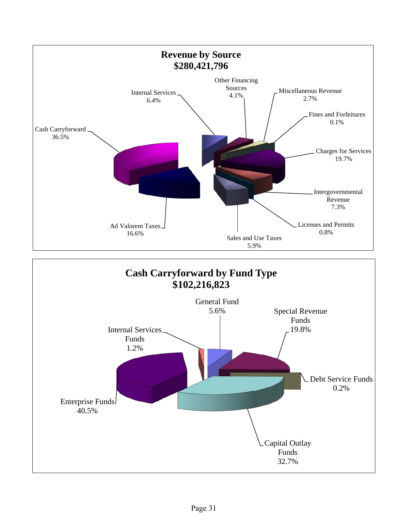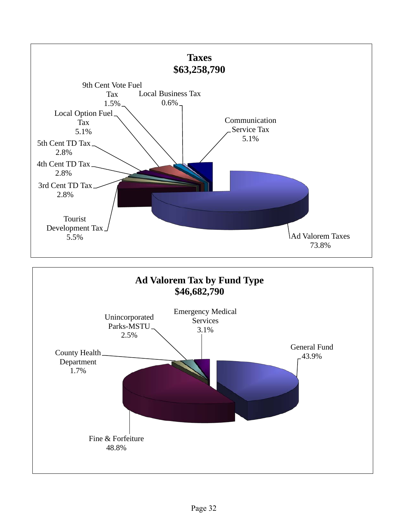

Fine & Forfeiture 48.8%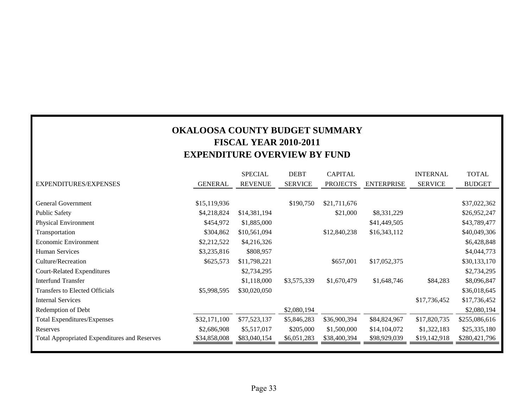#### **OKALOOSA COUNTY BUDGET SUMMARY FISCAL YEAR 2010-2011 EXPENDITURE OVERVIEW BY FUND**

|                                                     |                | <b>SPECIAL</b> | <b>DEBT</b>    | <b>CAPITAL</b>  |                   | <b>INTERNAL</b> | <b>TOTAL</b>  |
|-----------------------------------------------------|----------------|----------------|----------------|-----------------|-------------------|-----------------|---------------|
| EXPENDITURES/EXPENSES                               | <b>GENERAL</b> | <b>REVENUE</b> | <b>SERVICE</b> | <b>PROJECTS</b> | <b>ENTERPRISE</b> | <b>SERVICE</b>  | <b>BUDGET</b> |
|                                                     |                |                |                |                 |                   |                 |               |
| <b>General Government</b>                           | \$15,119,936   |                | \$190,750      | \$21,711,676    |                   |                 | \$37,022,362  |
| <b>Public Safety</b>                                | \$4,218,824    | \$14,381,194   |                | \$21,000        | \$8,331,229       |                 | \$26,952,247  |
| <b>Physical Environment</b>                         | \$454,972      | \$1,885,000    |                |                 | \$41,449,505      |                 | \$43,789,477  |
| Transportation                                      | \$304,862      | \$10,561,094   |                | \$12,840,238    | \$16,343,112      |                 | \$40,049,306  |
| Economic Environment                                | \$2,212,522    | \$4,216,326    |                |                 |                   |                 | \$6,428,848   |
| <b>Human Services</b>                               | \$3,235,816    | \$808,957      |                |                 |                   |                 | \$4,044,773   |
| Culture/Recreation                                  | \$625,573      | \$11,798,221   |                | \$657,001       | \$17,052,375      |                 | \$30,133,170  |
| <b>Court-Related Expenditures</b>                   |                | \$2,734,295    |                |                 |                   |                 | \$2,734,295   |
| <b>Interfund Transfer</b>                           |                | \$1,118,000    | \$3,575,339    | \$1,670,479     | \$1,648,746       | \$84,283        | \$8,096,847   |
| Transfers to Elected Officials                      | \$5,998,595    | \$30,020,050   |                |                 |                   |                 | \$36,018,645  |
| <b>Internal Services</b>                            |                |                |                |                 |                   | \$17,736,452    | \$17,736,452  |
| Redemption of Debt                                  |                |                | \$2,080,194    |                 |                   |                 | \$2,080,194   |
| <b>Total Expenditures/Expenses</b>                  | \$32,171,100   | \$77,523,137   | \$5,846,283    | \$36,900,394    | \$84,824,967      | \$17,820,735    | \$255,086,616 |
| Reserves                                            | \$2,686,908    | \$5,517,017    | \$205,000      | \$1,500,000     | \$14,104,072      | \$1,322,183     | \$25,335,180  |
| <b>Total Appropriated Expenditures and Reserves</b> | \$34,858,008   | \$83,040,154   | \$6,051,283    | \$38,400,394    | \$98,929,039      | \$19,142,918    | \$280,421,796 |
|                                                     |                |                |                |                 |                   |                 |               |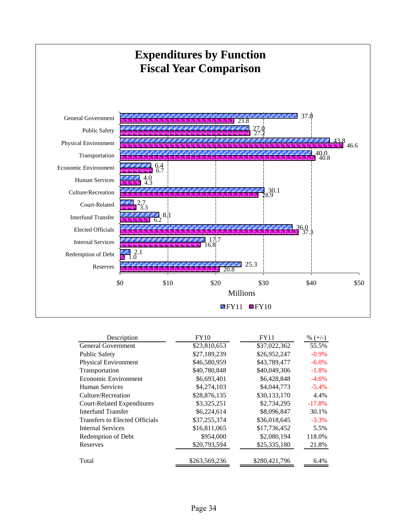

| Description                       | <b>FY10</b>   | <b>FY11</b>   | % $(+/-)$ |
|-----------------------------------|---------------|---------------|-----------|
| <b>General Government</b>         | \$23,810,653  | \$37,022,362  | 55.5%     |
| <b>Public Safety</b>              | \$27,189,239  | \$26,952,247  | $-0.9\%$  |
| <b>Physical Environment</b>       | \$46,580,959  | \$43,789,477  | $-6.0\%$  |
| Transportation                    | \$40,780,848  | \$40,049,306  | $-1.8%$   |
| Economic Environment              | \$6,693,401   | \$6,428,848   | $-4.0\%$  |
| Human Services                    | \$4,274,103   | \$4,044,773   | $-5.4%$   |
| Culture/Recreation                | \$28,876,135  | \$30,133,170  | 4.4%      |
| <b>Court-Related Expenditures</b> | \$3,325,251   | \$2,734,295   | $-17.8%$  |
| Interfund Transfer                | \$6,224,614   | \$8,096,847   | 30.1%     |
| Transfers to Elected Officials    | \$37,255,374  | \$36,018,645  | $-3.3\%$  |
| <b>Internal Services</b>          | \$16,811,065  | \$17,736,452  | 5.5%      |
| Redemption of Debt                | \$954,000     | \$2,080,194   | 118.0%    |
| Reserves                          | \$20,793,594  | \$25,335,180  | 21.8%     |
| Total                             | \$263,569,236 | \$280,421,796 | 6.4%      |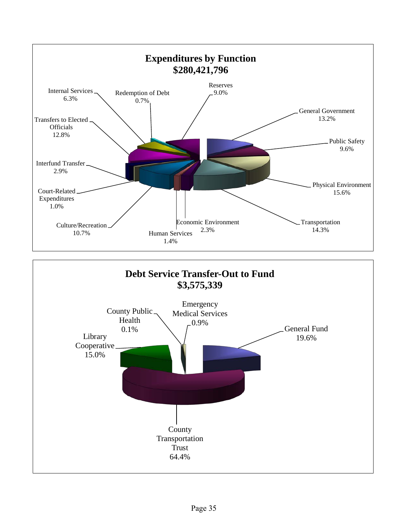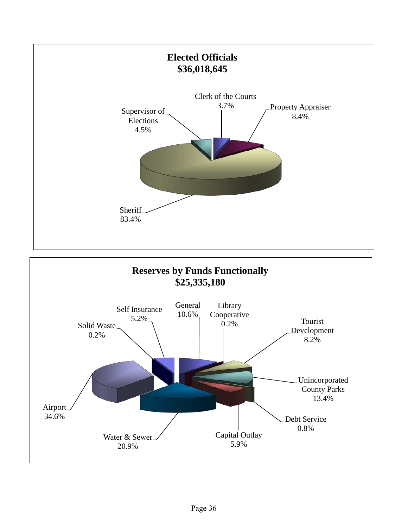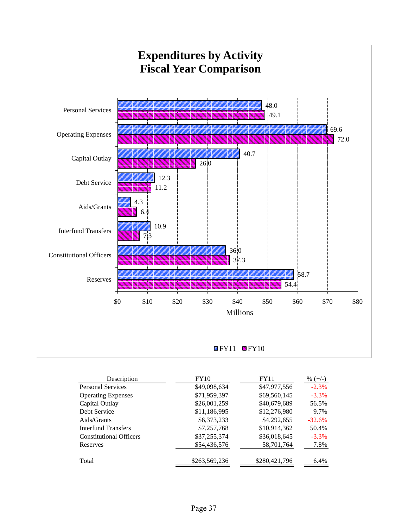

| Description                    | <b>FY10</b>   | <b>FY11</b>   | % $(+/-)$ |
|--------------------------------|---------------|---------------|-----------|
| <b>Personal Services</b>       | \$49,098,634  | \$47,977,556  | $-2.3%$   |
| <b>Operating Expenses</b>      | \$71,959,397  | \$69,560,145  | $-3.3\%$  |
| Capital Outlay                 | \$26,001,259  | \$40,679,689  | 56.5%     |
| Debt Service                   | \$11,186,995  | \$12,276,980  | 9.7%      |
| Aids/Grants                    | \$6,373,233   | \$4,292,655   | $-32.6%$  |
| Interfund Transfers            | \$7,257,768   | \$10,914,362  | 50.4%     |
| <b>Constitutional Officers</b> | \$37,255,374  | \$36,018,645  | $-3.3\%$  |
| Reserves                       | \$54,436,576  | 58,701,764    | 7.8%      |
| Total                          | \$263,569,236 | \$280,421,796 | 6.4%      |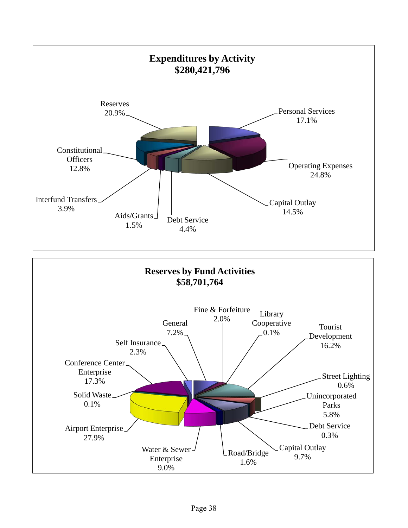